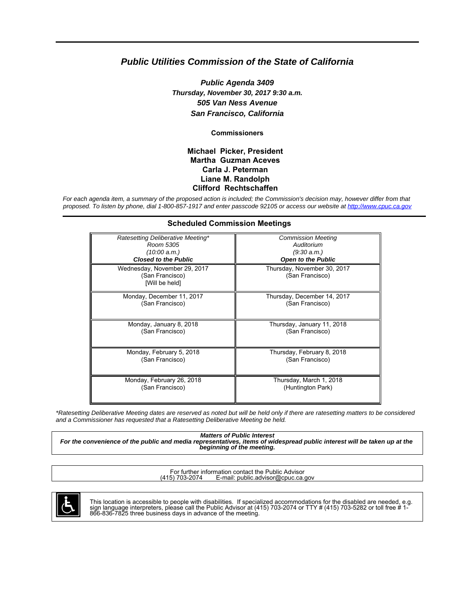# **Public Utilities Commission of the State of California**

**Public Agenda 3409 Thursday, November 30, 2017 9:30 a.m. 505 Van Ness Avenue San Francisco, California**

**Commissioners**

#### **Michael Picker, President Martha Guzman Aceves Carla J. Peterman Liane M. Randolph Clifford Rechtschaffen**

For each agenda item, a summary of the proposed action is included; the Commission's decision may, however differ from that proposed. To listen by phone, dial 1-800-857-1917 and enter passcode 92105 or access our website at<http://www.cpuc.ca.gov>

| <b>Scheduled Commission Meetings</b>                              |                                                |
|-------------------------------------------------------------------|------------------------------------------------|
| Ratesetting Deliberative Meeting*                                 | <b>Commission Meeting</b>                      |
| Room 5305                                                         | Auditorium                                     |
| (10:00 a.m.)                                                      | (9:30 a.m.)                                    |
| <b>Closed to the Public</b>                                       | <b>Open to the Public</b>                      |
| Wednesday, November 29, 2017<br>(San Francisco)<br>[Will be held] | Thursday, November 30, 2017<br>(San Francisco) |
| Monday, December 11, 2017                                         | Thursday, December 14, 2017                    |
| (San Francisco)                                                   | (San Francisco)                                |
| Monday, January 8, 2018                                           | Thursday, January 11, 2018                     |
| (San Francisco)                                                   | (San Francisco)                                |
| Monday, February 5, 2018                                          | Thursday, February 8, 2018                     |
| (San Francisco)                                                   | (San Francisco)                                |
| Monday, February 26, 2018                                         | Thursday, March 1, 2018                        |
| (San Francisco)                                                   | (Huntington Park)                              |

\*Ratesetting Deliberative Meeting dates are reserved as noted but will be held only if there are ratesetting matters to be considered and a Commissioner has requested that a Ratesetting Deliberative Meeting be held.

**Matters of Public Interest For the convenience of the public and media representatives, items of widespread public interest will be taken up at the beginning of the meeting.**

For further information contact the Public Advisor<br>(415) 703-2074 E-mail: public advisor@cpuc.ca. E-mail: public.advisor@cpuc.ca.gov



This location is accessible to people with disabilities. If specialized accommodations for the disabled are needed, e.g.<br>sign language interpreters, please call the Public Advisor at (415) 703-2074 or TTY # (415) 703-5282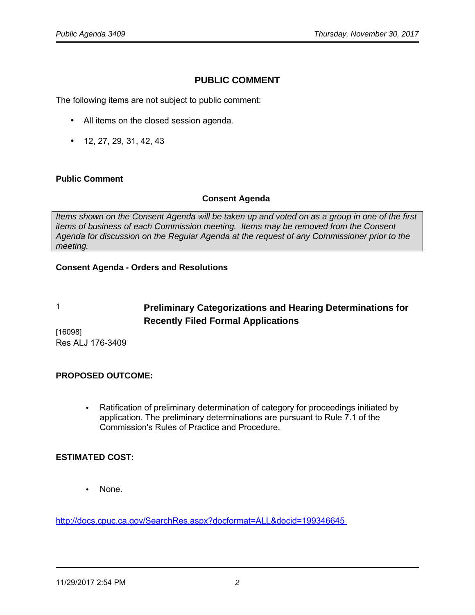# **PUBLIC COMMENT**

The following items are not subject to public comment:

- All items on the closed session agenda.
- 12, 27, 29, 31, 42, 43

#### **Public Comment**

#### **Consent Agenda**

Items shown on the Consent Agenda will be taken up and voted on as a group in one of the first items of business of each Commission meeting. Items may be removed from the Consent Agenda for discussion on the Regular Agenda at the request of any Commissioner prior to the meeting.

#### **Consent Agenda - Orders and Resolutions**

# 1 **Preliminary Categorizations and Hearing Determinations for Recently Filed Formal Applications**

[16098] Res ALJ 176-3409

#### **PROPOSED OUTCOME:**

• Ratification of preliminary determination of category for proceedings initiated by application. The preliminary determinations are pursuant to Rule 7.1 of the Commission's Rules of Practice and Procedure.

#### **ESTIMATED COST:**

• None.

<http://docs.cpuc.ca.gov/SearchRes.aspx?docformat=ALL&docid=199346645>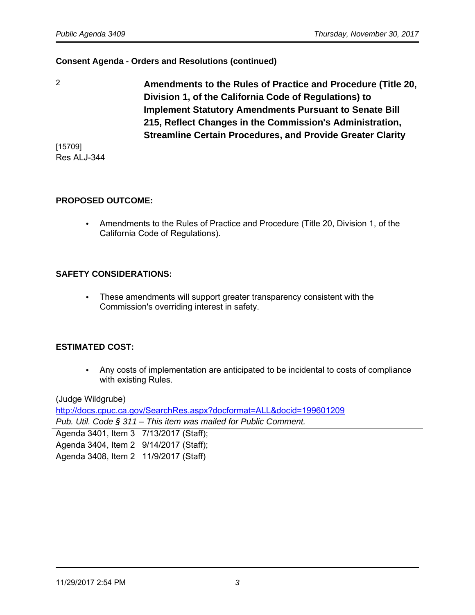2 **Amendments to the Rules of Practice and Procedure (Title 20, Division 1, of the California Code of Regulations) to Implement Statutory Amendments Pursuant to Senate Bill 215, Reflect Changes in the Commission's Administration, Streamline Certain Procedures, and Provide Greater Clarity**

[15709] Res ALJ-344

#### **PROPOSED OUTCOME:**

• Amendments to the Rules of Practice and Procedure (Title 20, Division 1, of the California Code of Regulations).

#### **SAFETY CONSIDERATIONS:**

• These amendments will support greater transparency consistent with the Commission's overriding interest in safety.

#### **ESTIMATED COST:**

• Any costs of implementation are anticipated to be incidental to costs of compliance with existing Rules.

(Judge Wildgrube)

<http://docs.cpuc.ca.gov/SearchRes.aspx?docformat=ALL&docid=199601209>

Pub. Util. Code § 311 – This item was mailed for Public Comment.

Agenda 3401, Item 3 7/13/2017 (Staff); Agenda 3404, Item 2 9/14/2017 (Staff); Agenda 3408, Item 2 11/9/2017 (Staff)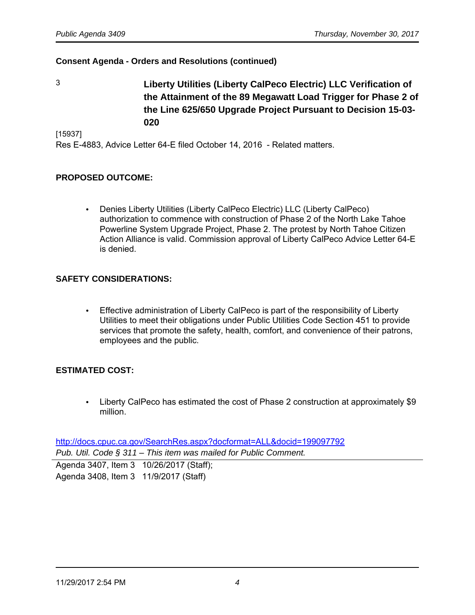3 **Liberty Utilities (Liberty CalPeco Electric) LLC Verification of the Attainment of the 89 Megawatt Load Trigger for Phase 2 of the Line 625/650 Upgrade Project Pursuant to Decision 15-03- 020**

[15937]

Res E-4883, Advice Letter 64-E filed October 14, 2016 - Related matters.

# **PROPOSED OUTCOME:**

• Denies Liberty Utilities (Liberty CalPeco Electric) LLC (Liberty CalPeco) authorization to commence with construction of Phase 2 of the North Lake Tahoe Powerline System Upgrade Project, Phase 2. The protest by North Tahoe Citizen Action Alliance is valid. Commission approval of Liberty CalPeco Advice Letter 64-E is denied.

# **SAFETY CONSIDERATIONS:**

• Effective administration of Liberty CalPeco is part of the responsibility of Liberty Utilities to meet their obligations under Public Utilities Code Section 451 to provide services that promote the safety, health, comfort, and convenience of their patrons, employees and the public.

#### **ESTIMATED COST:**

• Liberty CalPeco has estimated the cost of Phase 2 construction at approximately \$9 million.

<http://docs.cpuc.ca.gov/SearchRes.aspx?docformat=ALL&docid=199097792> Pub. Util. Code § 311 – This item was mailed for Public Comment.

Agenda 3407, Item 3 10/26/2017 (Staff); Agenda 3408, Item 3 11/9/2017 (Staff)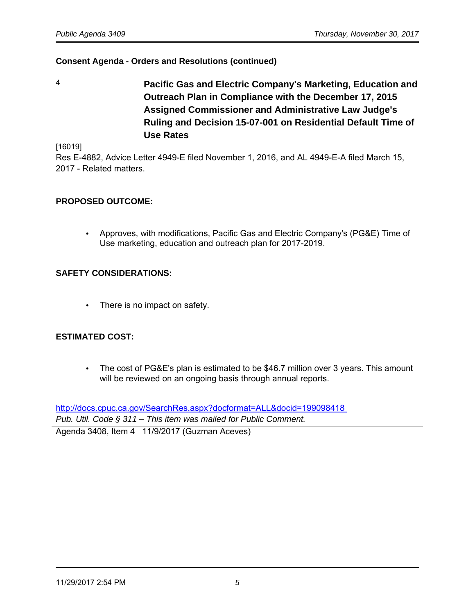4 **Pacific Gas and Electric Company's Marketing, Education and Outreach Plan in Compliance with the December 17, 2015 Assigned Commissioner and Administrative Law Judge's Ruling and Decision 15-07-001 on Residential Default Time of Use Rates**

[16019]

Res E-4882, Advice Letter 4949-E filed November 1, 2016, and AL 4949-E-A filed March 15, 2017 - Related matters.

# **PROPOSED OUTCOME:**

• Approves, with modifications, Pacific Gas and Electric Company's (PG&E) Time of Use marketing, education and outreach plan for 2017-2019.

# **SAFETY CONSIDERATIONS:**

• There is no impact on safety.

# **ESTIMATED COST:**

• The cost of PG&E's plan is estimated to be \$46.7 million over 3 years. This amount will be reviewed on an ongoing basis through annual reports.

<http://docs.cpuc.ca.gov/SearchRes.aspx?docformat=ALL&docid=199098418> Pub. Util. Code § 311 - This item was mailed for Public Comment.

Agenda 3408, Item 4 11/9/2017 (Guzman Aceves)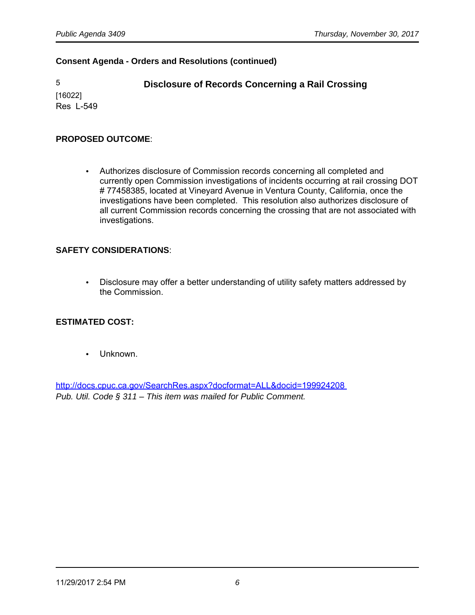[16022] Res L-549

5 **Disclosure of Records Concerning a Rail Crossing** 

#### **PROPOSED OUTCOME**:

• Authorizes disclosure of Commission records concerning all completed and currently open Commission investigations of incidents occurring at rail crossing DOT # 77458385, located at Vineyard Avenue in Ventura County, California, once the investigations have been completed. This resolution also authorizes disclosure of all current Commission records concerning the crossing that are not associated with investigations.

#### **SAFETY CONSIDERATIONS**:

• Disclosure may offer a better understanding of utility safety matters addressed by the Commission.

#### **ESTIMATED COST:**

• Unknown.

<http://docs.cpuc.ca.gov/SearchRes.aspx?docformat=ALL&docid=199924208> Pub. Util. Code § 311 – This item was mailed for Public Comment.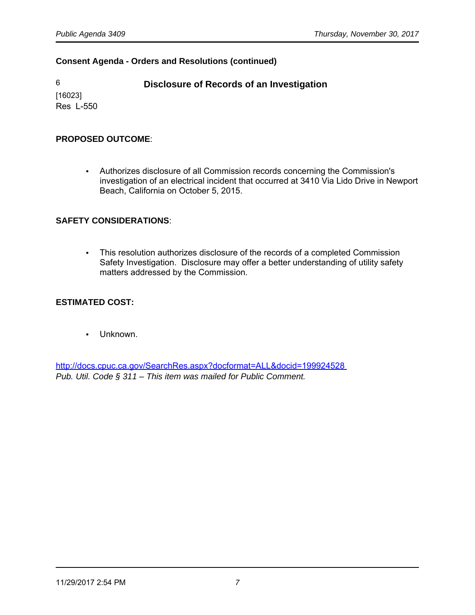# 6 **Disclosure of Records of an Investigation**

[16023] Res L-550

# **PROPOSED OUTCOME**:

• Authorizes disclosure of all Commission records concerning the Commission's investigation of an electrical incident that occurred at 3410 Via Lido Drive in Newport Beach, California on October 5, 2015.

# **SAFETY CONSIDERATIONS**:

• This resolution authorizes disclosure of the records of a completed Commission Safety Investigation. Disclosure may offer a better understanding of utility safety matters addressed by the Commission.

# **ESTIMATED COST:**

• Unknown.

<http://docs.cpuc.ca.gov/SearchRes.aspx?docformat=ALL&docid=199924528> Pub. Util. Code § 311 – This item was mailed for Public Comment.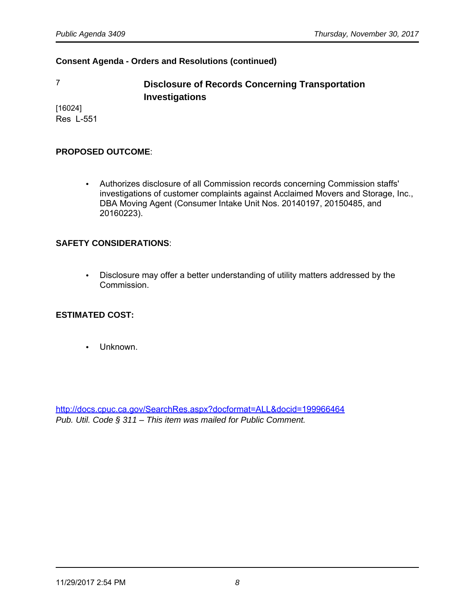7 **Disclosure of Records Concerning Transportation Investigations** 

[16024] Res L-551

#### **PROPOSED OUTCOME**:

• Authorizes disclosure of all Commission records concerning Commission staffs' investigations of customer complaints against Acclaimed Movers and Storage, Inc., DBA Moving Agent (Consumer Intake Unit Nos. 20140197, 20150485, and 20160223).

#### **SAFETY CONSIDERATIONS**:

• Disclosure may offer a better understanding of utility matters addressed by the Commission.

#### **ESTIMATED COST:**

• Unknown.

<http://docs.cpuc.ca.gov/SearchRes.aspx?docformat=ALL&docid=199966464> Pub. Util. Code § 311 – This item was mailed for Public Comment.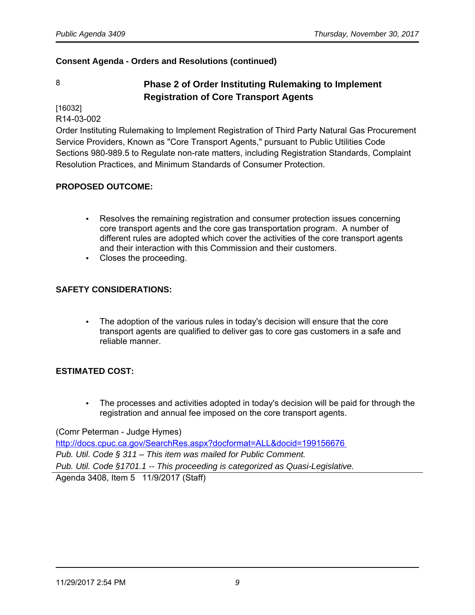# 8 **Phase 2 of Order Instituting Rulemaking to Implement Registration of Core Transport Agents**

[16032]

R14-03-002

Order Instituting Rulemaking to Implement Registration of Third Party Natural Gas Procurement Service Providers, Known as "Core Transport Agents," pursuant to Public Utilities Code Sections 980-989.5 to Regulate non-rate matters, including Registration Standards, Complaint Resolution Practices, and Minimum Standards of Consumer Protection.

#### **PROPOSED OUTCOME:**

- Resolves the remaining registration and consumer protection issues concerning core transport agents and the core gas transportation program. A number of different rules are adopted which cover the activities of the core transport agents and their interaction with this Commission and their customers.
- Closes the proceeding.

# **SAFETY CONSIDERATIONS:**

• The adoption of the various rules in today's decision will ensure that the core transport agents are qualified to deliver gas to core gas customers in a safe and reliable manner.

# **ESTIMATED COST:**

• The processes and activities adopted in today's decision will be paid for through the registration and annual fee imposed on the core transport agents.

(Comr Peterman - Judge Hymes)

<http://docs.cpuc.ca.gov/SearchRes.aspx?docformat=ALL&docid=199156676> Pub. Util. Code § 311 – This item was mailed for Public Comment. Pub. Util. Code §1701.1 -- This proceeding is categorized as Quasi-Legislative. Agenda 3408, Item 5 11/9/2017 (Staff)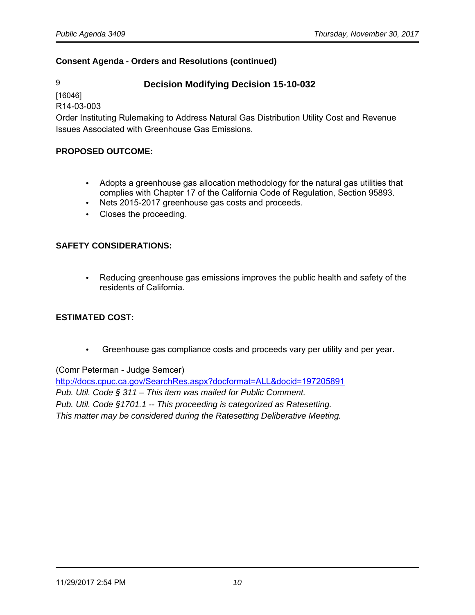9 **Decision Modifying Decision 15-10-032**

[16046]

R14-03-003

Order Instituting Rulemaking to Address Natural Gas Distribution Utility Cost and Revenue Issues Associated with Greenhouse Gas Emissions.

#### **PROPOSED OUTCOME:**

- Adopts a greenhouse gas allocation methodology for the natural gas utilities that complies with Chapter 17 of the California Code of Regulation, Section 95893.
- Nets 2015-2017 greenhouse gas costs and proceeds.
- Closes the proceeding.

# **SAFETY CONSIDERATIONS:**

• Reducing greenhouse gas emissions improves the public health and safety of the residents of California.

#### **ESTIMATED COST:**

• Greenhouse gas compliance costs and proceeds vary per utility and per year.

(Comr Peterman - Judge Semcer)

<http://docs.cpuc.ca.gov/SearchRes.aspx?docformat=ALL&docid=197205891> Pub. Util. Code § 311 – This item was mailed for Public Comment. Pub. Util. Code §1701.1 -- This proceeding is categorized as Ratesetting. This matter may be considered during the Ratesetting Deliberative Meeting.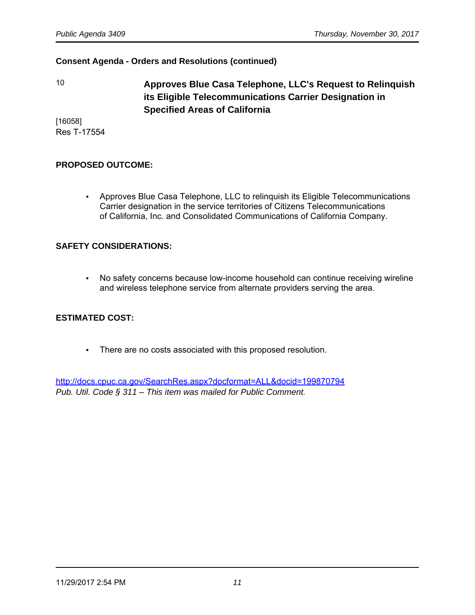10 **Approves Blue Casa Telephone, LLC's Request to Relinquish its Eligible Telecommunications Carrier Designation in Specified Areas of California**

[16058] Res T-17554

#### **PROPOSED OUTCOME:**

• Approves Blue Casa Telephone, LLC to relinquish its Eligible Telecommunications Carrier designation in the service territories of Citizens Telecommunications of California, Inc. and Consolidated Communications of California Company.

#### **SAFETY CONSIDERATIONS:**

• No safety concerns because low-income household can continue receiving wireline and wireless telephone service from alternate providers serving the area.

#### **ESTIMATED COST:**

• There are no costs associated with this proposed resolution.

<http://docs.cpuc.ca.gov/SearchRes.aspx?docformat=ALL&docid=199870794> Pub. Util. Code § 311 – This item was mailed for Public Comment.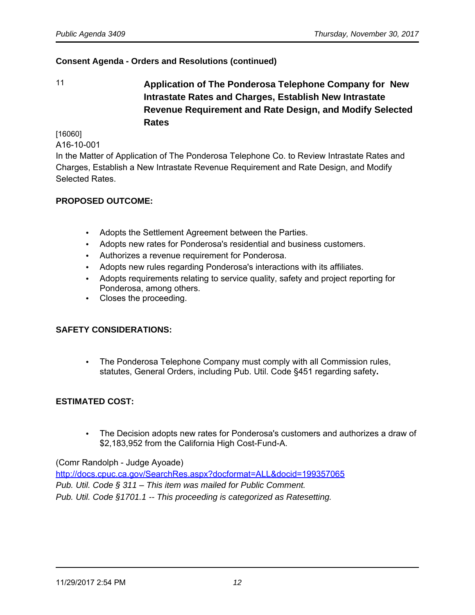11 **Application of The Ponderosa Telephone Company for New Intrastate Rates and Charges, Establish New Intrastate Revenue Requirement and Rate Design, and Modify Selected Rates**

[16060]

A16-10-001

In the Matter of Application of The Ponderosa Telephone Co. to Review Intrastate Rates and Charges, Establish a New Intrastate Revenue Requirement and Rate Design, and Modify Selected Rates.

#### **PROPOSED OUTCOME:**

- Adopts the Settlement Agreement between the Parties.
- Adopts new rates for Ponderosa's residential and business customers.
- Authorizes a revenue requirement for Ponderosa.
- Adopts new rules regarding Ponderosa's interactions with its affiliates.
- Adopts requirements relating to service quality, safety and project reporting for Ponderosa, among others.
- Closes the proceeding.

## **SAFETY CONSIDERATIONS:**

• The Ponderosa Telephone Company must comply with all Commission rules, statutes, General Orders, including Pub. Util. Code §451 regarding safety**.**

# **ESTIMATED COST:**

• The Decision adopts new rates for Ponderosa's customers and authorizes a draw of \$2,183,952 from the California High Cost-Fund-A.

(Comr Randolph - Judge Ayoade)

<http://docs.cpuc.ca.gov/SearchRes.aspx?docformat=ALL&docid=199357065> Pub. Util. Code § 311 – This item was mailed for Public Comment. Pub. Util. Code §1701.1 -- This proceeding is categorized as Ratesetting.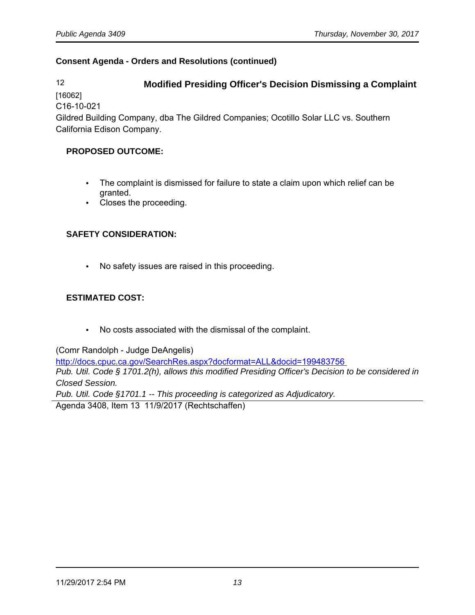12 **Modified Presiding Officer's Decision Dismissing a Complaint**

[16062]

C16-10-021

Gildred Building Company, dba The Gildred Companies; Ocotillo Solar LLC vs. Southern California Edison Company.

# **PROPOSED OUTCOME:**

- The complaint is dismissed for failure to state a claim upon which relief can be granted.
- Closes the proceeding.

# **SAFETY CONSIDERATION:**

• No safety issues are raised in this proceeding.

# **ESTIMATED COST:**

• No costs associated with the dismissal of the complaint.

(Comr Randolph - Judge DeAngelis)

<http://docs.cpuc.ca.gov/SearchRes.aspx?docformat=ALL&docid=199483756> Pub. Util. Code § 1701.2(h), allows this modified Presiding Officer's Decision to be considered in Closed Session.

Pub. Util. Code §1701.1 -- This proceeding is categorized as Adjudicatory.

Agenda 3408, Item 13 11/9/2017 (Rechtschaffen)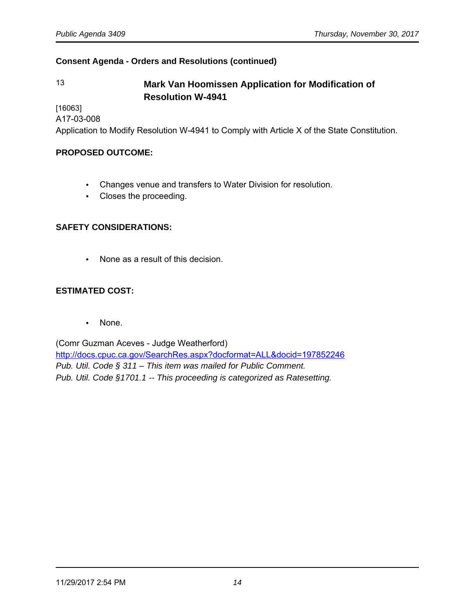# 13 **Mark Van Hoomissen Application for Modification of Resolution W-4941**

[16063]

A17-03-008

Application to Modify Resolution W-4941 to Comply with Article X of the State Constitution.

#### **PROPOSED OUTCOME:**

- Changes venue and transfers to Water Division for resolution.
- Closes the proceeding.

#### **SAFETY CONSIDERATIONS:**

• None as a result of this decision.

# **ESTIMATED COST:**

• None.

(Comr Guzman Aceves - Judge Weatherford) <http://docs.cpuc.ca.gov/SearchRes.aspx?docformat=ALL&docid=197852246> Pub. Util. Code § 311 – This item was mailed for Public Comment. Pub. Util. Code §1701.1 -- This proceeding is categorized as Ratesetting.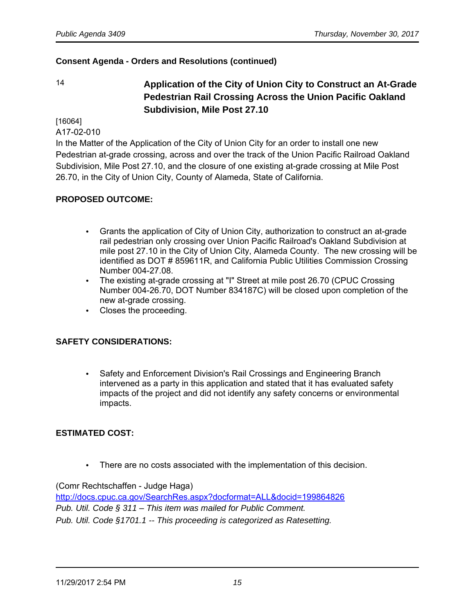14 **Application of the City of Union City to Construct an At-Grade Pedestrian Rail Crossing Across the Union Pacific Oakland Subdivision, Mile Post 27.10** 

[16064]

A17-02-010

In the Matter of the Application of the City of Union City for an order to install one new Pedestrian at-grade crossing, across and over the track of the Union Pacific Railroad Oakland Subdivision, Mile Post 27.10, and the closure of one existing at-grade crossing at Mile Post 26.70, in the City of Union City, County of Alameda, State of California.

#### **PROPOSED OUTCOME:**

- Grants the application of City of Union City, authorization to construct an at-grade rail pedestrian only crossing over Union Pacific Railroad's Oakland Subdivision at mile post 27.10 in the City of Union City, Alameda County. The new crossing will be identified as DOT # 859611R, and California Public Utilities Commission Crossing Number 004-27.08.
- The existing at-grade crossing at "I" Street at mile post 26.70 (CPUC Crossing Number 004-26.70, DOT Number 834187C) will be closed upon completion of the new at-grade crossing.
- Closes the proceeding.

#### **SAFETY CONSIDERATIONS:**

• Safety and Enforcement Division's Rail Crossings and Engineering Branch intervened as a party in this application and stated that it has evaluated safety impacts of the project and did not identify any safety concerns or environmental impacts.

# **ESTIMATED COST:**

• There are no costs associated with the implementation of this decision.

(Comr Rechtschaffen - Judge Haga)

<http://docs.cpuc.ca.gov/SearchRes.aspx?docformat=ALL&docid=199864826> Pub. Util. Code § 311 – This item was mailed for Public Comment. Pub. Util. Code §1701.1 -- This proceeding is categorized as Ratesetting.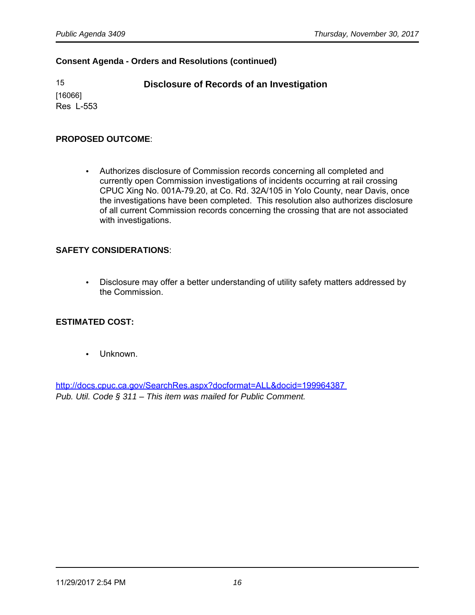15 **Disclosure of Records of an Investigation**

[16066] Res L-553

#### **PROPOSED OUTCOME**:

• Authorizes disclosure of Commission records concerning all completed and currently open Commission investigations of incidents occurring at rail crossing CPUC Xing No. 001A-79.20, at Co. Rd. 32A/105 in Yolo County, near Davis, once the investigations have been completed. This resolution also authorizes disclosure of all current Commission records concerning the crossing that are not associated with investigations.

#### **SAFETY CONSIDERATIONS**:

• Disclosure may offer a better understanding of utility safety matters addressed by the Commission.

#### **ESTIMATED COST:**

• Unknown.

<http://docs.cpuc.ca.gov/SearchRes.aspx?docformat=ALL&docid=199964387> Pub. Util. Code § 311 – This item was mailed for Public Comment.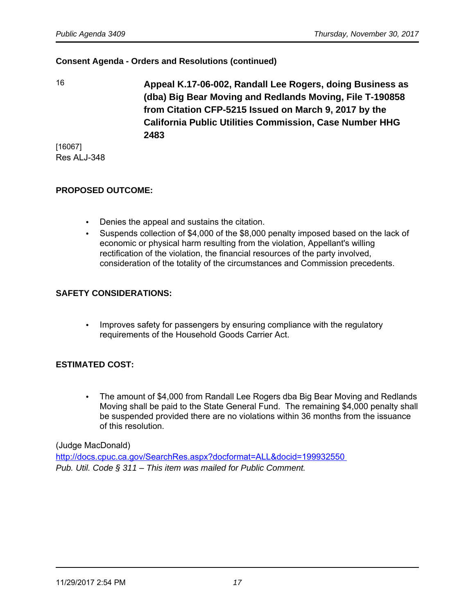16 **Appeal K.17-06-002, Randall Lee Rogers, doing Business as (dba) Big Bear Moving and Redlands Moving, File T-190858 from Citation CFP-5215 Issued on March 9, 2017 by the California Public Utilities Commission, Case Number HHG 2483**

[16067] Res ALJ-348

#### **PROPOSED OUTCOME:**

- Denies the appeal and sustains the citation.
- Suspends collection of \$4,000 of the \$8,000 penalty imposed based on the lack of economic or physical harm resulting from the violation, Appellant's willing rectification of the violation, the financial resources of the party involved, consideration of the totality of the circumstances and Commission precedents.

# **SAFETY CONSIDERATIONS:**

• Improves safety for passengers by ensuring compliance with the regulatory requirements of the Household Goods Carrier Act.

#### **ESTIMATED COST:**

• The amount of \$4,000 from Randall Lee Rogers dba Big Bear Moving and Redlands Moving shall be paid to the State General Fund. The remaining \$4,000 penalty shall be suspended provided there are no violations within 36 months from the issuance of this resolution.

(Judge MacDonald)

<http://docs.cpuc.ca.gov/SearchRes.aspx?docformat=ALL&docid=199932550> Pub. Util. Code § 311 – This item was mailed for Public Comment.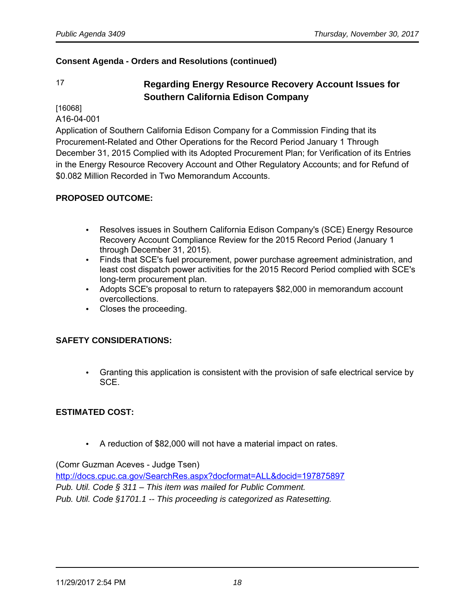# 17 **Regarding Energy Resource Recovery Account Issues for Southern California Edison Company**

[16068]

A16-04-001

Application of Southern California Edison Company for a Commission Finding that its Procurement-Related and Other Operations for the Record Period January 1 Through December 31, 2015 Complied with its Adopted Procurement Plan; for Verification of its Entries in the Energy Resource Recovery Account and Other Regulatory Accounts; and for Refund of \$0.082 Million Recorded in Two Memorandum Accounts.

#### **PROPOSED OUTCOME:**

- Resolves issues in Southern California Edison Company's (SCE) Energy Resource Recovery Account Compliance Review for the 2015 Record Period (January 1 through December 31, 2015).
- Finds that SCE's fuel procurement, power purchase agreement administration, and least cost dispatch power activities for the 2015 Record Period complied with SCE's long-term procurement plan.
- Adopts SCE's proposal to return to ratepayers \$82,000 in memorandum account overcollections.
- Closes the proceeding.

#### **SAFETY CONSIDERATIONS:**

• Granting this application is consistent with the provision of safe electrical service by SCE.

#### **ESTIMATED COST:**

• A reduction of \$82,000 will not have a material impact on rates.

(Comr Guzman Aceves - Judge Tsen)

<http://docs.cpuc.ca.gov/SearchRes.aspx?docformat=ALL&docid=197875897> Pub. Util. Code § 311 – This item was mailed for Public Comment. Pub. Util. Code §1701.1 -- This proceeding is categorized as Ratesetting.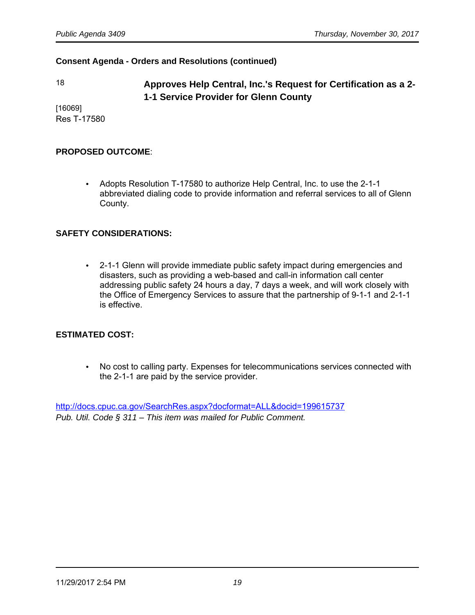# 18 **Approves Help Central, Inc.'s Request for Certification as a 2- 1-1 Service Provider for Glenn County**

[16069] Res T-17580

#### **PROPOSED OUTCOME**:

• Adopts Resolution T-17580 to authorize Help Central, Inc. to use the 2-1-1 abbreviated dialing code to provide information and referral services to all of Glenn County.

# **SAFETY CONSIDERATIONS:**

• 2-1-1 Glenn will provide immediate public safety impact during emergencies and disasters, such as providing a web-based and call-in information call center addressing public safety 24 hours a day, 7 days a week, and will work closely with the Office of Emergency Services to assure that the partnership of 9-1-1 and 2-1-1 is effective.

#### **ESTIMATED COST:**

• No cost to calling party. Expenses for telecommunications services connected with the 2-1-1 are paid by the service provider.

<http://docs.cpuc.ca.gov/SearchRes.aspx?docformat=ALL&docid=199615737> Pub. Util. Code § 311 – This item was mailed for Public Comment.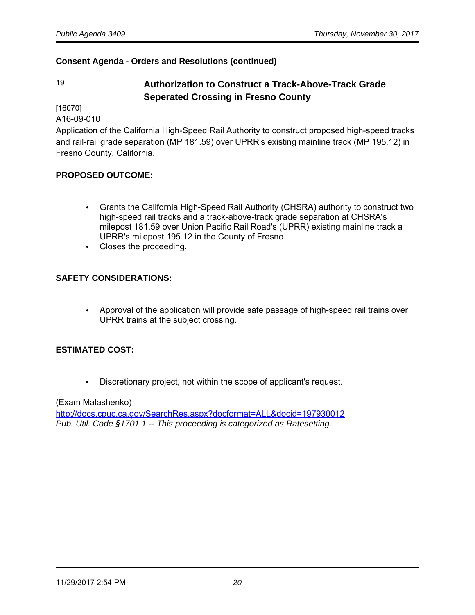# 19 **Authorization to Construct a Track-Above-Track Grade Seperated Crossing in Fresno County**

[16070]

A16-09-010

Application of the California High-Speed Rail Authority to construct proposed high-speed tracks and rail-rail grade separation (MP 181.59) over UPRR's existing mainline track (MP 195.12) in Fresno County, California.

# **PROPOSED OUTCOME:**

- Grants the California High-Speed Rail Authority (CHSRA) authority to construct two high-speed rail tracks and a track-above-track grade separation at CHSRA's milepost 181.59 over Union Pacific Rail Road's (UPRR) existing mainline track a UPRR's milepost 195.12 in the County of Fresno.
- Closes the proceeding.

# **SAFETY CONSIDERATIONS:**

• Approval of the application will provide safe passage of high-speed rail trains over UPRR trains at the subject crossing.

# **ESTIMATED COST:**

• Discretionary project, not within the scope of applicant's request.

#### (Exam Malashenko)

<http://docs.cpuc.ca.gov/SearchRes.aspx?docformat=ALL&docid=197930012> Pub. Util. Code §1701.1 -- This proceeding is categorized as Ratesetting.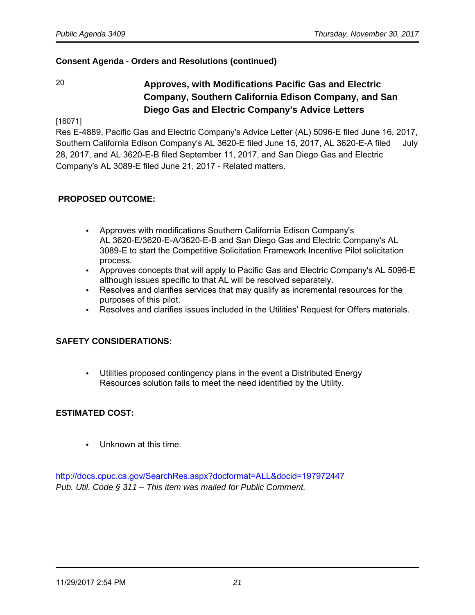# 20 **Approves, with Modifications Pacific Gas and Electric Company, Southern California Edison Company, and San Diego Gas and Electric Company's Advice Letters**

[16071]

Res E-4889, Pacific Gas and Electric Company's Advice Letter (AL) 5096-E filed June 16, 2017, Southern California Edison Company's AL 3620-E filed June 15, 2017, AL 3620-E-A filed July 28, 2017, and AL 3620-E-B filed September 11, 2017, and San Diego Gas and Electric Company's AL 3089-E filed June 21, 2017 - Related matters.

# **PROPOSED OUTCOME:**

- Approves with modifications Southern California Edison Company's AL 3620-E/3620-E-A/3620-E-B and San Diego Gas and Electric Company's AL 3089-E to start the Competitive Solicitation Framework Incentive Pilot solicitation process.
- Approves concepts that will apply to Pacific Gas and Electric Company's AL 5096-E although issues specific to that AL will be resolved separately.
- Resolves and clarifies services that may qualify as incremental resources for the purposes of this pilot.
- Resolves and clarifies issues included in the Utilities' Request for Offers materials.

#### **SAFETY CONSIDERATIONS:**

• Utilities proposed contingency plans in the event a Distributed Energy Resources solution fails to meet the need identified by the Utility.

#### **ESTIMATED COST:**

• Unknown at this time.

<http://docs.cpuc.ca.gov/SearchRes.aspx?docformat=ALL&docid=197972447> Pub. Util. Code § 311 – This item was mailed for Public Comment.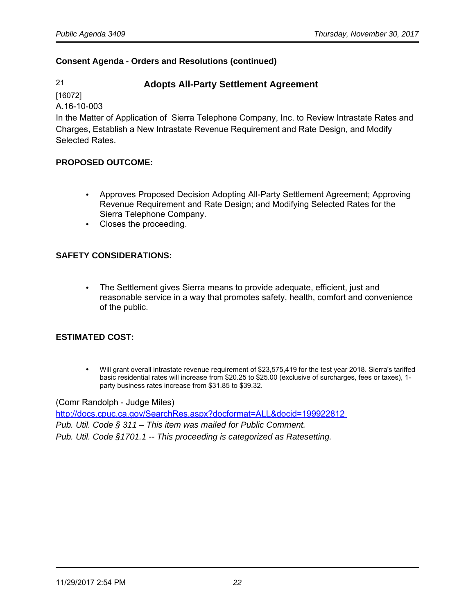# 21 **Adopts All-Party Settlement Agreement**

[16072]

A.16-10-003

In the Matter of Application of Sierra Telephone Company, Inc. to Review Intrastate Rates and Charges, Establish a New Intrastate Revenue Requirement and Rate Design, and Modify Selected Rates.

# **PROPOSED OUTCOME:**

- Approves Proposed Decision Adopting All-Party Settlement Agreement; Approving Revenue Requirement and Rate Design; and Modifying Selected Rates for the Sierra Telephone Company.
- Closes the proceeding.

# **SAFETY CONSIDERATIONS:**

• The Settlement gives Sierra means to provide adequate, efficient, just and reasonable service in a way that promotes safety, health, comfort and convenience of the public.

# **ESTIMATED COST:**

• Will grant overall intrastate revenue requirement of \$23,575,419 for the test year 2018. Sierra's tariffed basic residential rates will increase from \$20.25 to \$25.00 (exclusive of surcharges, fees or taxes), 1 party business rates increase from \$31.85 to \$39.32.

#### (Comr Randolph - Judge Miles)

<http://docs.cpuc.ca.gov/SearchRes.aspx?docformat=ALL&docid=199922812> Pub. Util. Code § 311 – This item was mailed for Public Comment. Pub. Util. Code §1701.1 -- This proceeding is categorized as Ratesetting.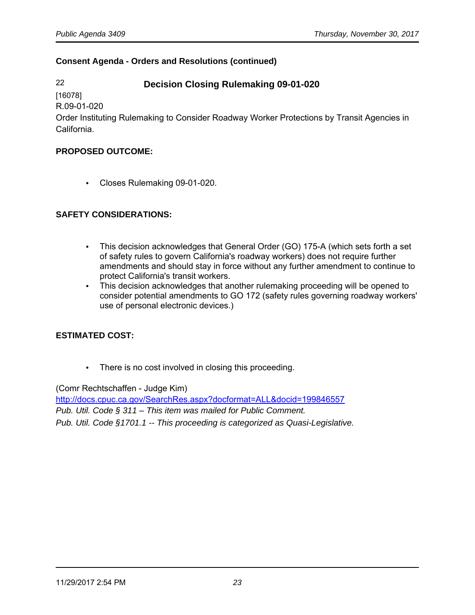# 22 **Decision Closing Rulemaking 09-01-020**

[16078] R.09-01-020

Order Instituting Rulemaking to Consider Roadway Worker Protections by Transit Agencies in California.

#### **PROPOSED OUTCOME:**

• Closes Rulemaking 09-01-020.

# **SAFETY CONSIDERATIONS:**

- This decision acknowledges that General Order (GO) 175-A (which sets forth a set of safety rules to govern California's roadway workers) does not require further amendments and should stay in force without any further amendment to continue to protect California's transit workers.
- This decision acknowledges that another rulemaking proceeding will be opened to consider potential amendments to GO 172 (safety rules governing roadway workers' use of personal electronic devices.)

# **ESTIMATED COST:**

• There is no cost involved in closing this proceeding.

(Comr Rechtschaffen - Judge Kim)

<http://docs.cpuc.ca.gov/SearchRes.aspx?docformat=ALL&docid=199846557> Pub. Util. Code § 311 – This item was mailed for Public Comment. Pub. Util. Code §1701.1 -- This proceeding is categorized as Quasi-Legislative.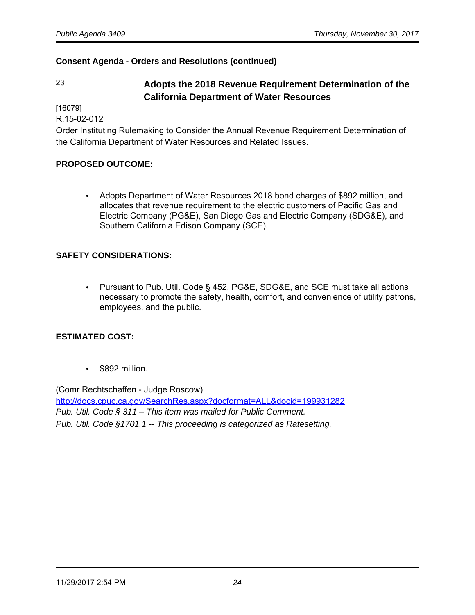# 23 **Adopts the 2018 Revenue Requirement Determination of the California Department of Water Resources**

[16079]

R.15-02-012

Order Instituting Rulemaking to Consider the Annual Revenue Requirement Determination of the California Department of Water Resources and Related Issues.

#### **PROPOSED OUTCOME:**

• Adopts Department of Water Resources 2018 bond charges of \$892 million, and allocates that revenue requirement to the electric customers of Pacific Gas and Electric Company (PG&E), San Diego Gas and Electric Company (SDG&E), and Southern California Edison Company (SCE).

# **SAFETY CONSIDERATIONS:**

• Pursuant to Pub. Util. Code § 452, PG&E, SDG&E, and SCE must take all actions necessary to promote the safety, health, comfort, and convenience of utility patrons, employees, and the public.

# **ESTIMATED COST:**

• \$892 million.

(Comr Rechtschaffen - Judge Roscow) <http://docs.cpuc.ca.gov/SearchRes.aspx?docformat=ALL&docid=199931282> Pub. Util. Code § 311 – This item was mailed for Public Comment. Pub. Util. Code §1701.1 -- This proceeding is categorized as Ratesetting.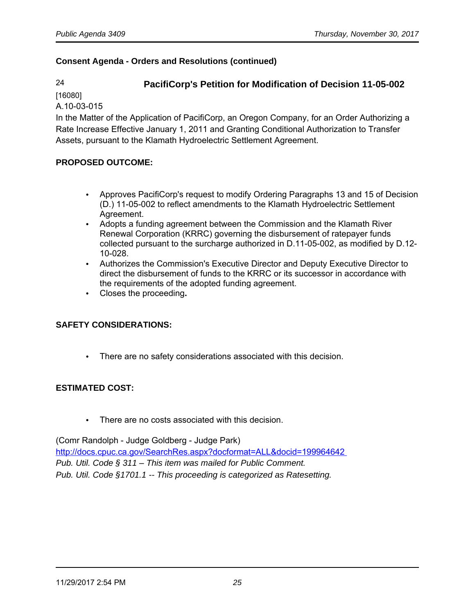# 24 **PacifiCorp's Petition for Modification of Decision 11-05-002**

[16080]

A.10-03-015

In the Matter of the Application of PacifiCorp, an Oregon Company, for an Order Authorizing a Rate Increase Effective January 1, 2011 and Granting Conditional Authorization to Transfer Assets, pursuant to the Klamath Hydroelectric Settlement Agreement.

# **PROPOSED OUTCOME:**

- Approves PacifiCorp's request to modify Ordering Paragraphs 13 and 15 of Decision (D.) 11-05-002 to reflect amendments to the Klamath Hydroelectric Settlement Agreement.
- Adopts a funding agreement between the Commission and the Klamath River Renewal Corporation (KRRC) governing the disbursement of ratepayer funds collected pursuant to the surcharge authorized in D.11-05-002, as modified by D.12- 10-028.
- Authorizes the Commission's Executive Director and Deputy Executive Director to direct the disbursement of funds to the KRRC or its successor in accordance with the requirements of the adopted funding agreement.
- Closes the proceeding**.**

# **SAFETY CONSIDERATIONS:**

• There are no safety considerations associated with this decision.

#### **ESTIMATED COST:**

• There are no costs associated with this decision.

(Comr Randolph - Judge Goldberg - Judge Park) <http://docs.cpuc.ca.gov/SearchRes.aspx?docformat=ALL&docid=199964642> Pub. Util. Code § 311 – This item was mailed for Public Comment. Pub. Util. Code §1701.1 -- This proceeding is categorized as Ratesetting.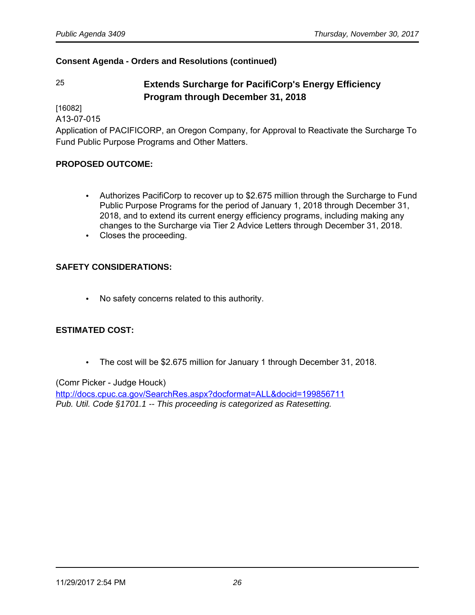# 25 **Extends Surcharge for PacifiCorp's Energy Efficiency Program through December 31, 2018**

[16082]

A13-07-015

Application of PACIFICORP, an Oregon Company, for Approval to Reactivate the Surcharge To Fund Public Purpose Programs and Other Matters.

# **PROPOSED OUTCOME:**

- Authorizes PacifiCorp to recover up to \$2.675 million through the Surcharge to Fund Public Purpose Programs for the period of January 1, 2018 through December 31, 2018, and to extend its current energy efficiency programs, including making any changes to the Surcharge via Tier 2 Advice Letters through December 31, 2018.
- Closes the proceeding.

# **SAFETY CONSIDERATIONS:**

• No safety concerns related to this authority.

# **ESTIMATED COST:**

• The cost will be \$2.675 million for January 1 through December 31, 2018.

#### (Comr Picker - Judge Houck)

<http://docs.cpuc.ca.gov/SearchRes.aspx?docformat=ALL&docid=199856711> Pub. Util. Code §1701.1 -- This proceeding is categorized as Ratesetting.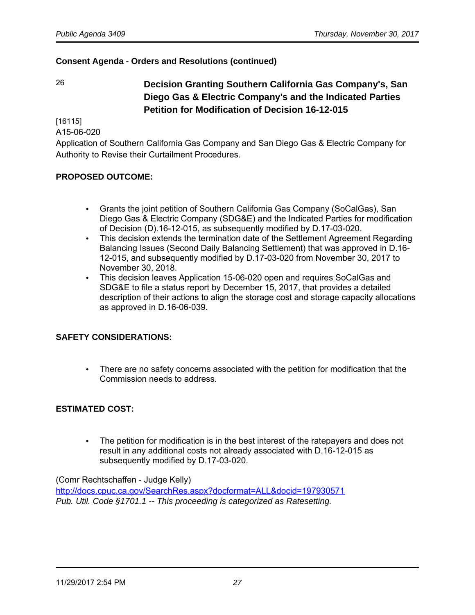26 **Decision Granting Southern California Gas Company's, San Diego Gas & Electric Company's and the Indicated Parties Petition for Modification of Decision 16-12-015**

[16115]

A15-06-020

Application of Southern California Gas Company and San Diego Gas & Electric Company for Authority to Revise their Curtailment Procedures.

# **PROPOSED OUTCOME:**

- Grants the joint petition of Southern California Gas Company (SoCalGas), San Diego Gas & Electric Company (SDG&E) and the Indicated Parties for modification of Decision (D).16-12-015, as subsequently modified by D.17-03-020.
- This decision extends the termination date of the Settlement Agreement Regarding Balancing Issues (Second Daily Balancing Settlement) that was approved in D.16- 12-015, and subsequently modified by D.17-03-020 from November 30, 2017 to November 30, 2018.
- This decision leaves Application 15-06-020 open and requires SoCalGas and SDG&E to file a status report by December 15, 2017, that provides a detailed description of their actions to align the storage cost and storage capacity allocations as approved in D.16-06-039.

#### **SAFETY CONSIDERATIONS:**

• There are no safety concerns associated with the petition for modification that the Commission needs to address.

# **ESTIMATED COST:**

• The petition for modification is in the best interest of the ratepayers and does not result in any additional costs not already associated with D.16-12-015 as subsequently modified by D.17-03-020.

#### (Comr Rechtschaffen - Judge Kelly)

<http://docs.cpuc.ca.gov/SearchRes.aspx?docformat=ALL&docid=197930571> Pub. Util. Code §1701.1 -- This proceeding is categorized as Ratesetting.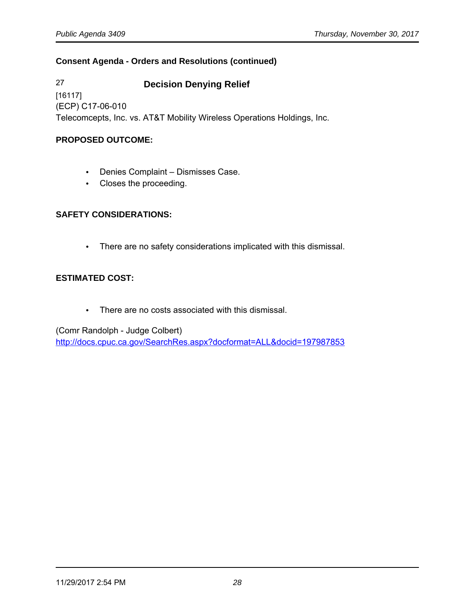27 **Decision Denying Relief** [16117] (ECP) C17-06-010 Telecomcepts, Inc. vs. AT&T Mobility Wireless Operations Holdings, Inc.

# **PROPOSED OUTCOME:**

- Denies Complaint Dismisses Case.
- Closes the proceeding.

# **SAFETY CONSIDERATIONS:**

• There are no safety considerations implicated with this dismissal.

# **ESTIMATED COST:**

• There are no costs associated with this dismissal.

(Comr Randolph - Judge Colbert) <http://docs.cpuc.ca.gov/SearchRes.aspx?docformat=ALL&docid=197987853>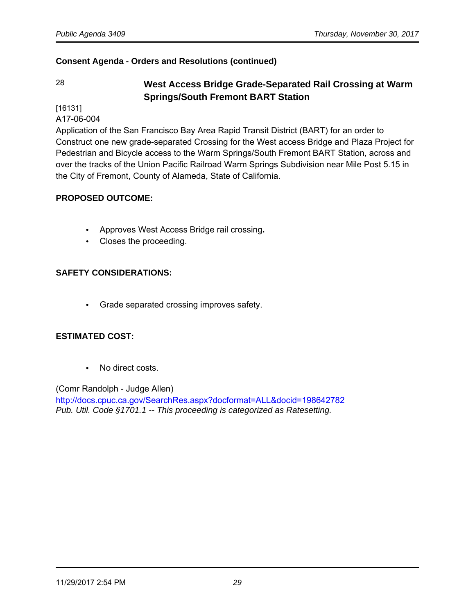# 28 **West Access Bridge Grade-Separated Rail Crossing at Warm Springs/South Fremont BART Station**

[16131]

A17-06-004

Application of the San Francisco Bay Area Rapid Transit District (BART) for an order to Construct one new grade-separated Crossing for the West access Bridge and Plaza Project for Pedestrian and Bicycle access to the Warm Springs/South Fremont BART Station, across and over the tracks of the Union Pacific Railroad Warm Springs Subdivision near Mile Post 5.15 in the City of Fremont, County of Alameda, State of California.

# **PROPOSED OUTCOME:**

- Approves West Access Bridge rail crossing**.**
- Closes the proceeding.

# **SAFETY CONSIDERATIONS:**

• Grade separated crossing improves safety.

#### **ESTIMATED COST:**

• No direct costs.

(Comr Randolph - Judge Allen) <http://docs.cpuc.ca.gov/SearchRes.aspx?docformat=ALL&docid=198642782> Pub. Util. Code §1701.1 -- This proceeding is categorized as Ratesetting.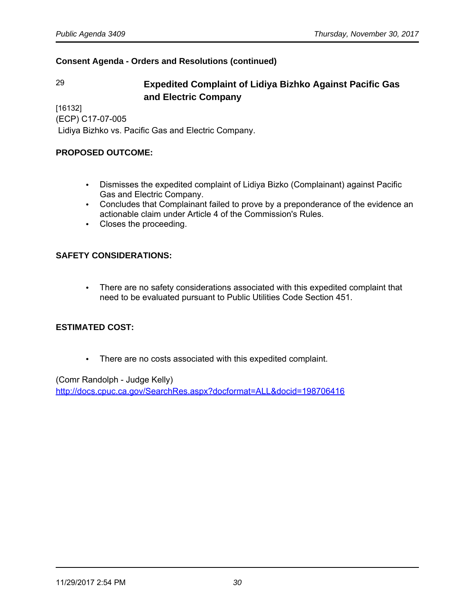# 29 **Expedited Complaint of Lidiya Bizhko Against Pacific Gas and Electric Company**

[16132] (ECP) C17-07-005

Lidiya Bizhko vs. Pacific Gas and Electric Company.

## **PROPOSED OUTCOME:**

- Dismisses the expedited complaint of Lidiya Bizko (Complainant) against Pacific Gas and Electric Company.
- Concludes that Complainant failed to prove by a preponderance of the evidence an actionable claim under Article 4 of the Commission's Rules.
- Closes the proceeding.

# **SAFETY CONSIDERATIONS:**

• There are no safety considerations associated with this expedited complaint that need to be evaluated pursuant to Public Utilities Code Section 451.

# **ESTIMATED COST:**

• There are no costs associated with this expedited complaint.

(Comr Randolph - Judge Kelly) <http://docs.cpuc.ca.gov/SearchRes.aspx?docformat=ALL&docid=198706416>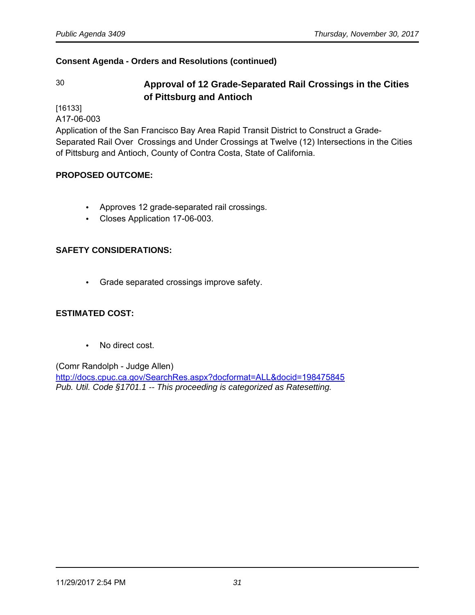# 30 **Approval of 12 Grade-Separated Rail Crossings in the Cities of Pittsburg and Antioch**

[16133]

A17-06-003

Application of the San Francisco Bay Area Rapid Transit District to Construct a Grade-Separated Rail Over Crossings and Under Crossings at Twelve (12) Intersections in the Cities of Pittsburg and Antioch, County of Contra Costa, State of California.

# **PROPOSED OUTCOME:**

- Approves 12 grade-separated rail crossings.
- Closes Application 17-06-003.

# **SAFETY CONSIDERATIONS:**

• Grade separated crossings improve safety.

#### **ESTIMATED COST:**

• No direct cost.

#### (Comr Randolph - Judge Allen)

<http://docs.cpuc.ca.gov/SearchRes.aspx?docformat=ALL&docid=198475845> Pub. Util. Code §1701.1 -- This proceeding is categorized as Ratesetting.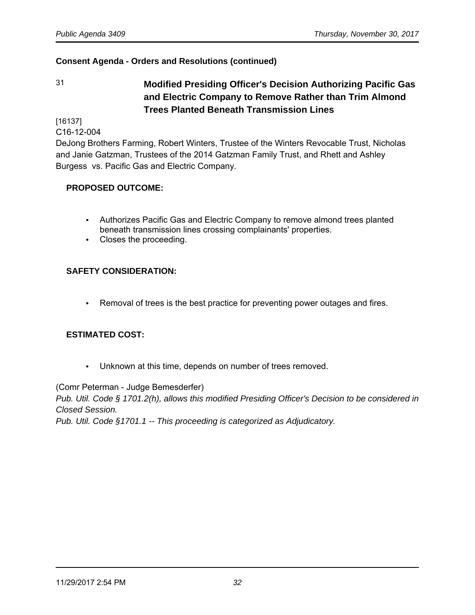31 **Modified Presiding Officer's Decision Authorizing Pacific Gas and Electric Company to Remove Rather than Trim Almond Trees Planted Beneath Transmission Lines**

[16137]

C16-12-004

DeJong Brothers Farming, Robert Winters, Trustee of the Winters Revocable Trust, Nicholas and Janie Gatzman, Trustees of the 2014 Gatzman Family Trust, and Rhett and Ashley Burgess vs. Pacific Gas and Electric Company.

# **PROPOSED OUTCOME:**

- Authorizes Pacific Gas and Electric Company to remove almond trees planted beneath transmission lines crossing complainants' properties.
- Closes the proceeding.

# **SAFETY CONSIDERATION:**

• Removal of trees is the best practice for preventing power outages and fires.

#### **ESTIMATED COST:**

• Unknown at this time, depends on number of trees removed.

(Comr Peterman - Judge Bemesderfer)

Pub. Util. Code § 1701.2(h), allows this modified Presiding Officer's Decision to be considered in Closed Session.

Pub. Util. Code §1701.1 -- This proceeding is categorized as Adjudicatory.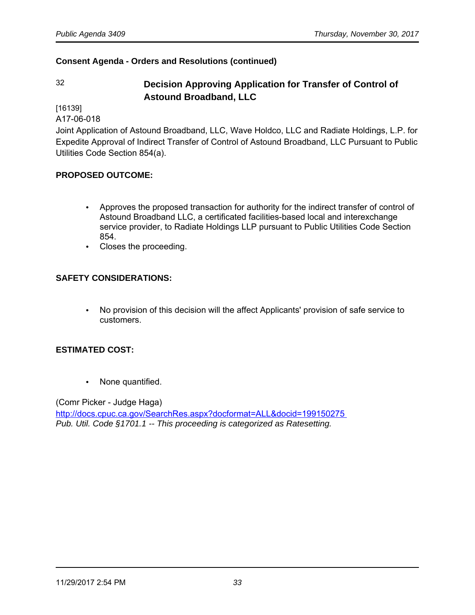# 32 **Decision Approving Application for Transfer of Control of Astound Broadband, LLC**

[16139]

A17-06-018

Joint Application of Astound Broadband, LLC, Wave Holdco, LLC and Radiate Holdings, L.P. for Expedite Approval of Indirect Transfer of Control of Astound Broadband, LLC Pursuant to Public Utilities Code Section 854(a).

# **PROPOSED OUTCOME:**

- Approves the proposed transaction for authority for the indirect transfer of control of Astound Broadband LLC, a certificated facilities-based local and interexchange service provider, to Radiate Holdings LLP pursuant to Public Utilities Code Section 854.
- Closes the proceeding.

# **SAFETY CONSIDERATIONS:**

• No provision of this decision will the affect Applicants' provision of safe service to customers.

#### **ESTIMATED COST:**

• None quantified.

(Comr Picker - Judge Haga)

<http://docs.cpuc.ca.gov/SearchRes.aspx?docformat=ALL&docid=199150275> Pub. Util. Code §1701.1 -- This proceeding is categorized as Ratesetting.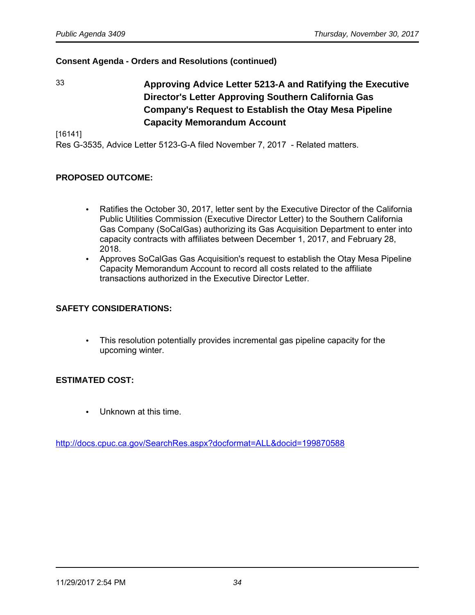33 **Approving Advice Letter 5213-A and Ratifying the Executive Director's Letter Approving Southern California Gas Company's Request to Establish the Otay Mesa Pipeline Capacity Memorandum Account**

[16141]

Res G-3535, Advice Letter 5123-G-A filed November 7, 2017 - Related matters.

# **PROPOSED OUTCOME:**

- Ratifies the October 30, 2017, letter sent by the Executive Director of the California Public Utilities Commission (Executive Director Letter) to the Southern California Gas Company (SoCalGas) authorizing its Gas Acquisition Department to enter into capacity contracts with affiliates between December 1, 2017, and February 28, 2018.
- Approves SoCalGas Gas Acquisition's request to establish the Otay Mesa Pipeline Capacity Memorandum Account to record all costs related to the affiliate transactions authorized in the Executive Director Letter.

#### **SAFETY CONSIDERATIONS:**

• This resolution potentially provides incremental gas pipeline capacity for the upcoming winter.

#### **ESTIMATED COST:**

• Unknown at this time.

<http://docs.cpuc.ca.gov/SearchRes.aspx?docformat=ALL&docid=199870588>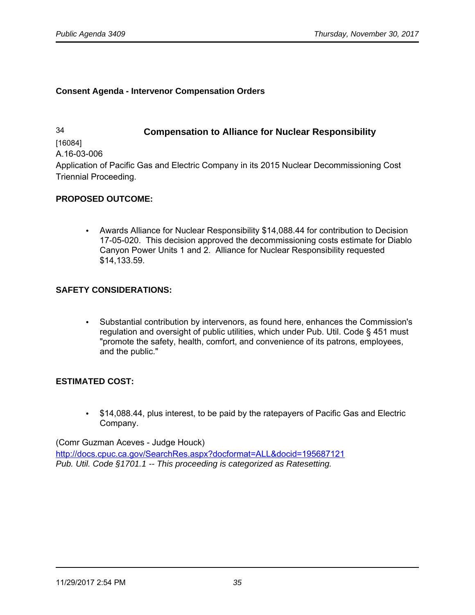#### **Consent Agenda - Intervenor Compensation Orders**

34 **Compensation to Alliance for Nuclear Responsibility**

[16084] A.16-03-006

Application of Pacific Gas and Electric Company in its 2015 Nuclear Decommissioning Cost Triennial Proceeding.

# **PROPOSED OUTCOME:**

• Awards Alliance for Nuclear Responsibility \$14,088.44 for contribution to Decision 17-05-020. This decision approved the decommissioning costs estimate for Diablo Canyon Power Units 1 and 2. Alliance for Nuclear Responsibility requested \$14,133.59.

# **SAFETY CONSIDERATIONS:**

• Substantial contribution by intervenors, as found here, enhances the Commission's regulation and oversight of public utilities, which under Pub. Util. Code § 451 must "promote the safety, health, comfort, and convenience of its patrons, employees, and the public."

#### **ESTIMATED COST:**

• \$14,088.44, plus interest, to be paid by the ratepayers of Pacific Gas and Electric Company.

(Comr Guzman Aceves - Judge Houck) <http://docs.cpuc.ca.gov/SearchRes.aspx?docformat=ALL&docid=195687121> Pub. Util. Code §1701.1 -- This proceeding is categorized as Ratesetting.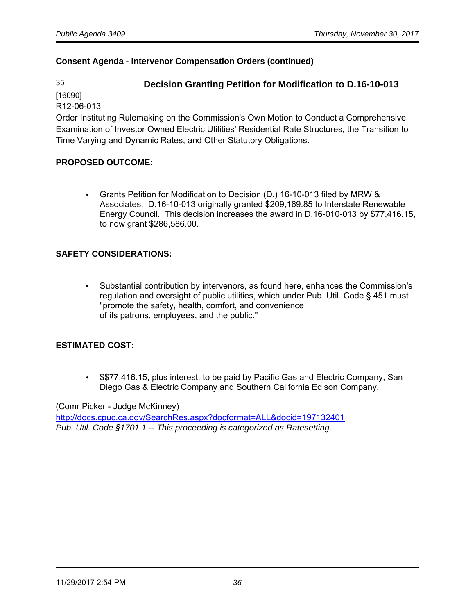# 35 **Decision Granting Petition for Modification to D.16-10-013**

[16090] R12-06-013

Order Instituting Rulemaking on the Commission's Own Motion to Conduct a Comprehensive Examination of Investor Owned Electric Utilities' Residential Rate Structures, the Transition to Time Varying and Dynamic Rates, and Other Statutory Obligations.

# **PROPOSED OUTCOME:**

• Grants Petition for Modification to Decision (D.) 16-10-013 filed by MRW & Associates. D.16-10-013 originally granted \$209,169.85 to Interstate Renewable Energy Council. This decision increases the award in D.16-010-013 by \$77,416.15, to now grant \$286,586.00.

# **SAFETY CONSIDERATIONS:**

• Substantial contribution by intervenors, as found here, enhances the Commission's regulation and oversight of public utilities, which under Pub. Util. Code § 451 must "promote the safety, health, comfort, and convenience of its patrons, employees, and the public."

#### **ESTIMATED COST:**

• \$\$77,416.15, plus interest, to be paid by Pacific Gas and Electric Company, San Diego Gas & Electric Company and Southern California Edison Company.

(Comr Picker - Judge McKinney)

<http://docs.cpuc.ca.gov/SearchRes.aspx?docformat=ALL&docid=197132401> Pub. Util. Code §1701.1 -- This proceeding is categorized as Ratesetting.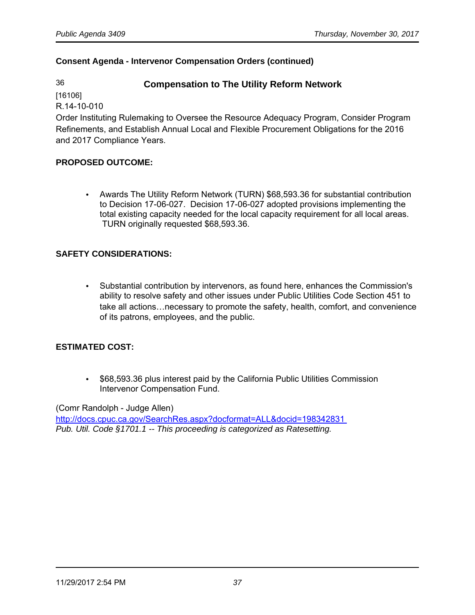# 36 **Compensation to The Utility Reform Network**

[16106]

R.14-10-010

Order Instituting Rulemaking to Oversee the Resource Adequacy Program, Consider Program Refinements, and Establish Annual Local and Flexible Procurement Obligations for the 2016 and 2017 Compliance Years.

# **PROPOSED OUTCOME:**

• Awards The Utility Reform Network (TURN) \$68,593.36 for substantial contribution to Decision 17-06-027. Decision 17-06-027 adopted provisions implementing the total existing capacity needed for the local capacity requirement for all local areas. TURN originally requested \$68,593.36.

# **SAFETY CONSIDERATIONS:**

• Substantial contribution by intervenors, as found here, enhances the Commission's ability to resolve safety and other issues under Public Utilities Code Section 451 to take all actions…necessary to promote the safety, health, comfort, and convenience of its patrons, employees, and the public.

# **ESTIMATED COST:**

• \$68,593.36 plus interest paid by the California Public Utilities Commission Intervenor Compensation Fund.

(Comr Randolph - Judge Allen)

<http://docs.cpuc.ca.gov/SearchRes.aspx?docformat=ALL&docid=198342831> Pub. Util. Code §1701.1 -- This proceeding is categorized as Ratesetting.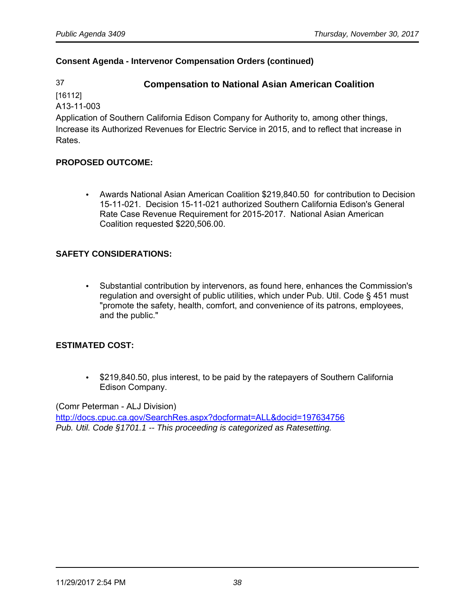# 37 **Compensation to National Asian American Coalition**

[16112] A13-11-003

Application of Southern California Edison Company for Authority to, among other things, Increase its Authorized Revenues for Electric Service in 2015, and to reflect that increase in Rates.

# **PROPOSED OUTCOME:**

• Awards National Asian American Coalition \$219,840.50 for contribution to Decision 15-11-021. Decision 15-11-021 authorized Southern California Edison's General Rate Case Revenue Requirement for 2015-2017. National Asian American Coalition requested \$220,506.00.

# **SAFETY CONSIDERATIONS:**

• Substantial contribution by intervenors, as found here, enhances the Commission's regulation and oversight of public utilities, which under Pub. Util. Code § 451 must "promote the safety, health, comfort, and convenience of its patrons, employees, and the public."

# **ESTIMATED COST:**

• \$219,840.50, plus interest, to be paid by the ratepayers of Southern California Edison Company.

(Comr Peterman - ALJ Division)

<http://docs.cpuc.ca.gov/SearchRes.aspx?docformat=ALL&docid=197634756> Pub. Util. Code §1701.1 -- This proceeding is categorized as Ratesetting.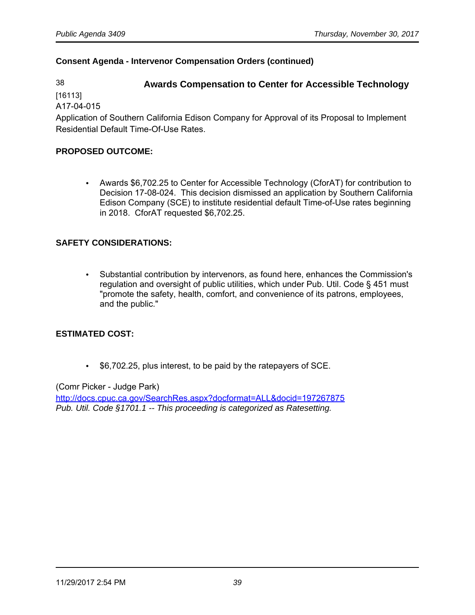# 38 **Awards Compensation to Center for Accessible Technology**

[16113]

A17-04-015

Application of Southern California Edison Company for Approval of its Proposal to Implement Residential Default Time-Of-Use Rates.

#### **PROPOSED OUTCOME:**

• Awards \$6,702.25 to Center for Accessible Technology (CforAT) for contribution to Decision 17-08-024. This decision dismissed an application by Southern California Edison Company (SCE) to institute residential default Time-of-Use rates beginning in 2018. CforAT requested \$6,702.25.

# **SAFETY CONSIDERATIONS:**

• Substantial contribution by intervenors, as found here, enhances the Commission's regulation and oversight of public utilities, which under Pub. Util. Code § 451 must "promote the safety, health, comfort, and convenience of its patrons, employees, and the public."

#### **ESTIMATED COST:**

• \$6,702.25, plus interest, to be paid by the ratepayers of SCE.

(Comr Picker - Judge Park)

<http://docs.cpuc.ca.gov/SearchRes.aspx?docformat=ALL&docid=197267875> Pub. Util. Code §1701.1 -- This proceeding is categorized as Ratesetting.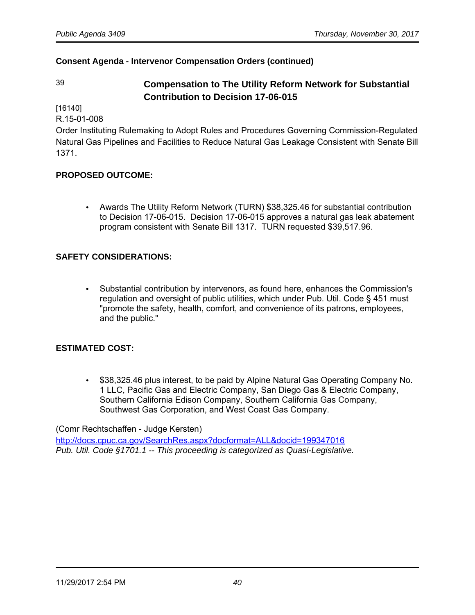# 39 **Compensation to The Utility Reform Network for Substantial Contribution to Decision 17-06-015**

[16140]

R.15-01-008

Order Instituting Rulemaking to Adopt Rules and Procedures Governing Commission-Regulated Natural Gas Pipelines and Facilities to Reduce Natural Gas Leakage Consistent with Senate Bill 1371.

# **PROPOSED OUTCOME:**

• Awards The Utility Reform Network (TURN) \$38,325.46 for substantial contribution to Decision 17-06-015. Decision 17-06-015 approves a natural gas leak abatement program consistent with Senate Bill 1317. TURN requested \$39,517.96.

#### **SAFETY CONSIDERATIONS:**

• Substantial contribution by intervenors, as found here, enhances the Commission's regulation and oversight of public utilities, which under Pub. Util. Code § 451 must "promote the safety, health, comfort, and convenience of its patrons, employees, and the public."

#### **ESTIMATED COST:**

• \$38,325.46 plus interest, to be paid by Alpine Natural Gas Operating Company No. 1 LLC, Pacific Gas and Electric Company, San Diego Gas & Electric Company, Southern California Edison Company, Southern California Gas Company, Southwest Gas Corporation, and West Coast Gas Company.

(Comr Rechtschaffen - Judge Kersten)

<http://docs.cpuc.ca.gov/SearchRes.aspx?docformat=ALL&docid=199347016> Pub. Util. Code §1701.1 -- This proceeding is categorized as Quasi-Legislative.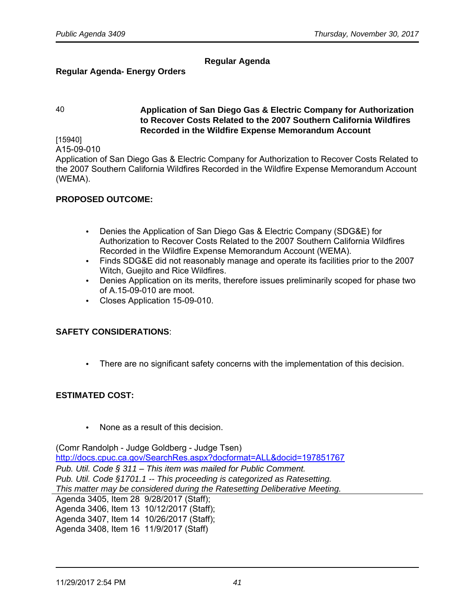# **Regular Agenda**

#### **Regular Agenda- Energy Orders**

#### 40 **Application of San Diego Gas & Electric Company for Authorization to Recover Costs Related to the 2007 Southern California Wildfires Recorded in the Wildfire Expense Memorandum Account**

[15940] A15-09-010

Application of San Diego Gas & Electric Company for Authorization to Recover Costs Related to the 2007 Southern California Wildfires Recorded in the Wildfire Expense Memorandum Account (WEMA).

#### **PROPOSED OUTCOME:**

- Denies the Application of San Diego Gas & Electric Company (SDG&E) for Authorization to Recover Costs Related to the 2007 Southern California Wildfires Recorded in the Wildfire Expense Memorandum Account (WEMA).
- Finds SDG&E did not reasonably manage and operate its facilities prior to the 2007 Witch, Guejito and Rice Wildfires.
- Denies Application on its merits, therefore issues preliminarily scoped for phase two of A.15-09-010 are moot.
- Closes Application 15-09-010.

#### **SAFETY CONSIDERATIONS**:

• There are no significant safety concerns with the implementation of this decision.

#### **ESTIMATED COST:**

• None as a result of this decision.

(Comr Randolph - Judge Goldberg - Judge Tsen) <http://docs.cpuc.ca.gov/SearchRes.aspx?docformat=ALL&docid=197851767> Pub. Util. Code § 311 – This item was mailed for Public Comment. Pub. Util. Code §1701.1 -- This proceeding is categorized as Ratesetting. This matter may be considered during the Ratesetting Deliberative Meeting. Agenda 3405, Item 28 9/28/2017 (Staff); Agenda 3406, Item 13 10/12/2017 (Staff); Agenda 3407, Item 14 10/26/2017 (Staff);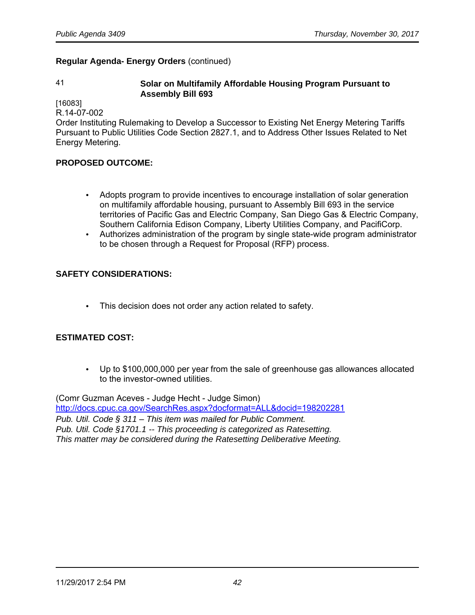## **Regular Agenda- Energy Orders** (continued)

#### 41 **Solar on Multifamily Affordable Housing Program Pursuant to Assembly Bill 693**

[16083]

R.14-07-002

Order Instituting Rulemaking to Develop a Successor to Existing Net Energy Metering Tariffs Pursuant to Public Utilities Code Section 2827.1, and to Address Other Issues Related to Net Energy Metering.

# **PROPOSED OUTCOME:**

- Adopts program to provide incentives to encourage installation of solar generation on multifamily affordable housing, pursuant to Assembly Bill 693 in the service territories of Pacific Gas and Electric Company, San Diego Gas & Electric Company, Southern California Edison Company, Liberty Utilities Company, and PacifiCorp.
- Authorizes administration of the program by single state-wide program administrator to be chosen through a Request for Proposal (RFP) process.

# **SAFETY CONSIDERATIONS:**

• This decision does not order any action related to safety.

# **ESTIMATED COST:**

• Up to \$100,000,000 per year from the sale of greenhouse gas allowances allocated to the investor-owned utilities.

(Comr Guzman Aceves - Judge Hecht - Judge Simon) <http://docs.cpuc.ca.gov/SearchRes.aspx?docformat=ALL&docid=198202281> Pub. Util. Code § 311 – This item was mailed for Public Comment. Pub. Util. Code §1701.1 -- This proceeding is categorized as Ratesetting. This matter may be considered during the Ratesetting Deliberative Meeting.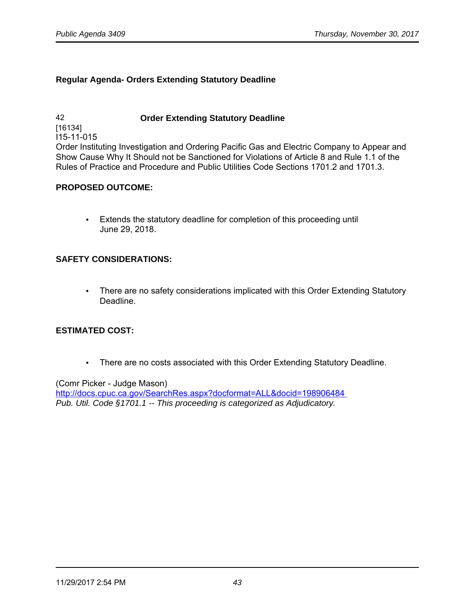## **Regular Agenda- Orders Extending Statutory Deadline**

42 **Order Extending Statutory Deadline** [16134] I15-11-015 Order Instituting Investigation and Ordering Pacific Gas and Electric Company to Appear and Show Cause Why It Should not be Sanctioned for Violations of Article 8 and Rule 1.1 of the Rules of Practice and Procedure and Public Utilities Code Sections 1701.2 and 1701.3.

#### **PROPOSED OUTCOME:**

• Extends the statutory deadline for completion of this proceeding until June 29, 2018.

#### **SAFETY CONSIDERATIONS:**

• There are no safety considerations implicated with this Order Extending Statutory Deadline.

# **ESTIMATED COST:**

• There are no costs associated with this Order Extending Statutory Deadline.

#### (Comr Picker - Judge Mason)

<http://docs.cpuc.ca.gov/SearchRes.aspx?docformat=ALL&docid=198906484> Pub. Util. Code §1701.1 -- This proceeding is categorized as Adjudicatory.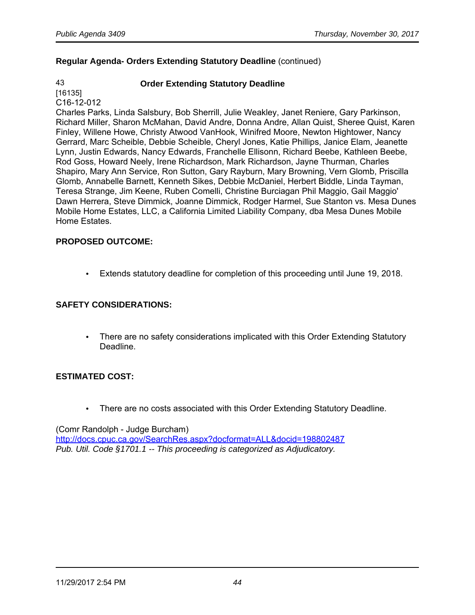# **Regular Agenda- Orders Extending Statutory Deadline** (continued)

# 43 **Order Extending Statutory Deadline**

[16135] C16-12-012

Charles Parks, Linda Salsbury, Bob Sherrill, Julie Weakley, Janet Reniere, Gary Parkinson, Richard Miller, Sharon McMahan, David Andre, Donna Andre, Allan Quist, Sheree Quist, Karen Finley, Willene Howe, Christy Atwood VanHook, Winifred Moore, Newton Hightower, Nancy Gerrard, Marc Scheible, Debbie Scheible, Cheryl Jones, Katie Phillips, Janice Elam, Jeanette Lynn, Justin Edwards, Nancy Edwards, Franchelle Ellisonn, Richard Beebe, Kathleen Beebe, Rod Goss, Howard Neely, Irene Richardson, Mark Richardson, Jayne Thurman, Charles Shapiro, Mary Ann Service, Ron Sutton, Gary Rayburn, Mary Browning, Vern Glomb, Priscilla Glomb, Annabelle Barnett, Kenneth Sikes, Debbie McDaniel, Herbert Biddle, Linda Tayman, Teresa Strange, Jim Keene, Ruben Comelli, Christine Burciagan Phil Maggio, Gail Maggio' Dawn Herrera, Steve Dimmick, Joanne Dimmick, Rodger Harmel, Sue Stanton vs. Mesa Dunes Mobile Home Estates, LLC, a California Limited Liability Company, dba Mesa Dunes Mobile Home Estates.

# **PROPOSED OUTCOME:**

• Extends statutory deadline for completion of this proceeding until June 19, 2018.

# **SAFETY CONSIDERATIONS:**

• There are no safety considerations implicated with this Order Extending Statutory Deadline.

# **ESTIMATED COST:**

• There are no costs associated with this Order Extending Statutory Deadline.

(Comr Randolph - Judge Burcham) <http://docs.cpuc.ca.gov/SearchRes.aspx?docformat=ALL&docid=198802487> Pub. Util. Code §1701.1 -- This proceeding is categorized as Adjudicatory.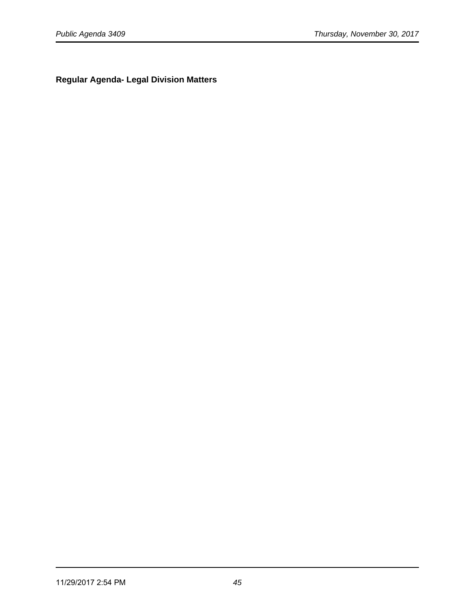**Regular Agenda- Legal Division Matters**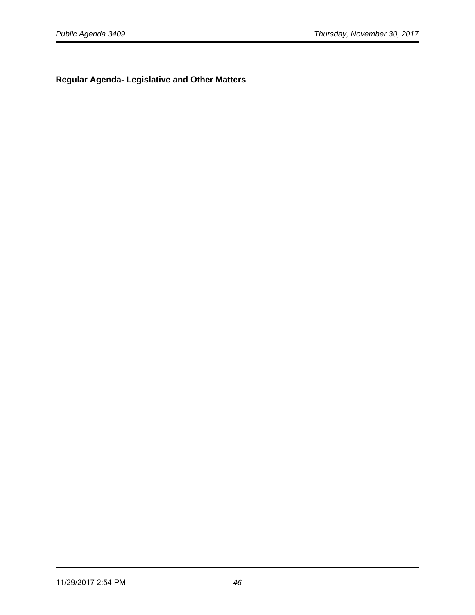**Regular Agenda- Legislative and Other Matters**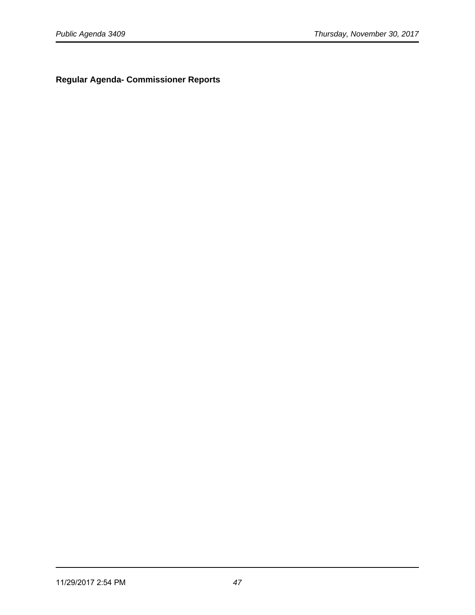**Regular Agenda- Commissioner Reports**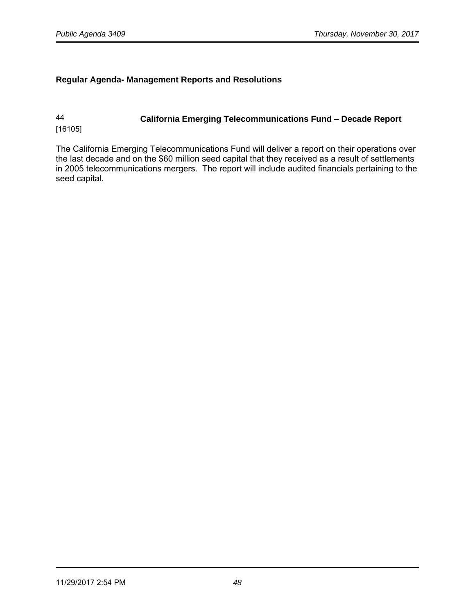#### **Regular Agenda- Management Reports and Resolutions**

# 44 **California Emerging Telecommunications Fund** – **Decade Report** [16105]

The California Emerging Telecommunications Fund will deliver a report on their operations over the last decade and on the \$60 million seed capital that they received as a result of settlements in 2005 telecommunications mergers. The report will include audited financials pertaining to the seed capital.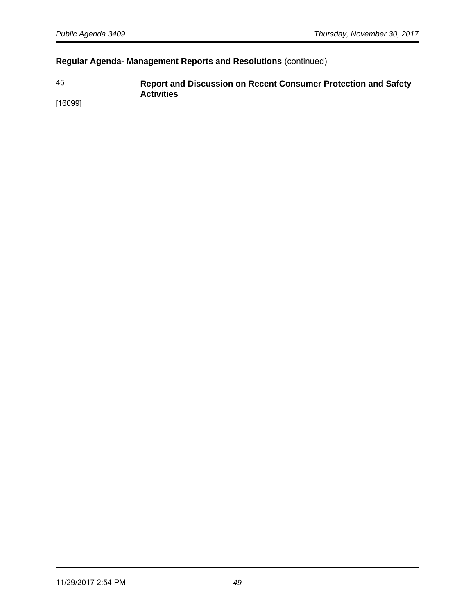# **Regular Agenda- Management Reports and Resolutions** (continued)

45 **Report and Discussion on Recent Consumer Protection and Safety Activities** 

[16099]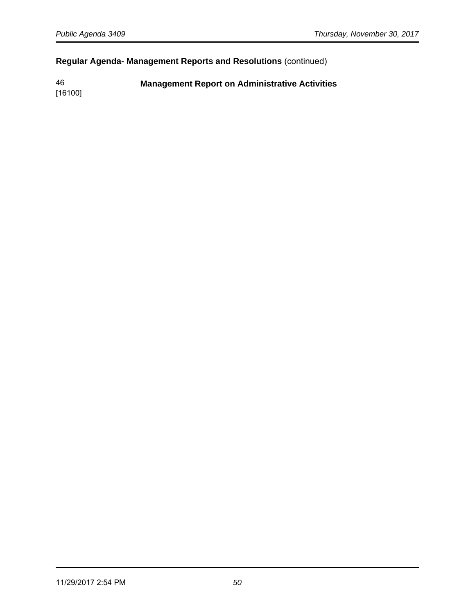# **Regular Agenda- Management Reports and Resolutions** (continued)

46 **Management Report on Administrative Activities**

[16100]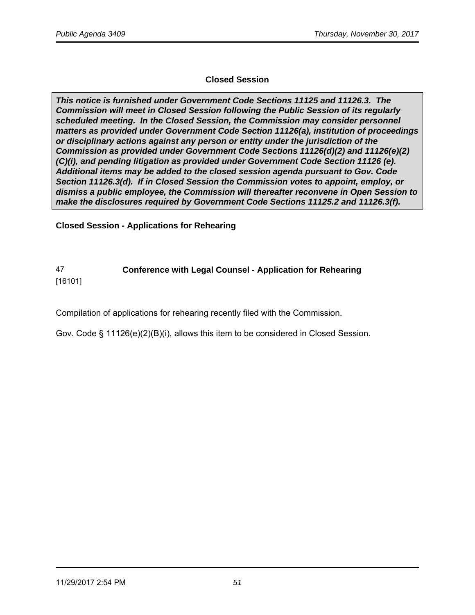# **Closed Session**

**This notice is furnished under Government Code Sections 11125 and 11126.3. The Commission will meet in Closed Session following the Public Session of its regularly scheduled meeting. In the Closed Session, the Commission may consider personnel matters as provided under Government Code Section 11126(a), institution of proceedings or disciplinary actions against any person or entity under the jurisdiction of the Commission as provided under Government Code Sections 11126(d)(2) and 11126(e)(2) (C)(i), and pending litigation as provided under Government Code Section 11126 (e). Additional items may be added to the closed session agenda pursuant to Gov. Code Section 11126.3(d). If in Closed Session the Commission votes to appoint, employ, or dismiss a public employee, the Commission will thereafter reconvene in Open Session to make the disclosures required by Government Code Sections 11125.2 and 11126.3(f).**

**Closed Session - Applications for Rehearing** 

# 47 **Conference with Legal Counsel - Application for Rehearing**

[16101]

Compilation of applications for rehearing recently filed with the Commission.

Gov. Code § 11126(e)(2)(B)(i), allows this item to be considered in Closed Session.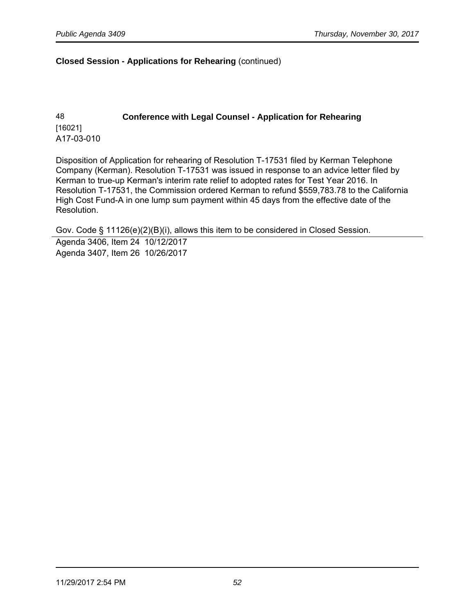#### **Closed Session - Applications for Rehearing** (continued)

# 48 **Conference with Legal Counsel - Application for Rehearing** [16021] A17-03-010

Disposition of Application for rehearing of Resolution T-17531 filed by Kerman Telephone Company (Kerman). Resolution T-17531 was issued in response to an advice letter filed by Kerman to true-up Kerman's interim rate relief to adopted rates for Test Year 2016. In Resolution T-17531, the Commission ordered Kerman to refund \$559,783.78 to the California High Cost Fund-A in one lump sum payment within 45 days from the effective date of the Resolution.

Gov. Code § 11126(e)(2)(B)(i), allows this item to be considered in Closed Session.

Agenda 3406, Item 24 10/12/2017 Agenda 3407, Item 26 10/26/2017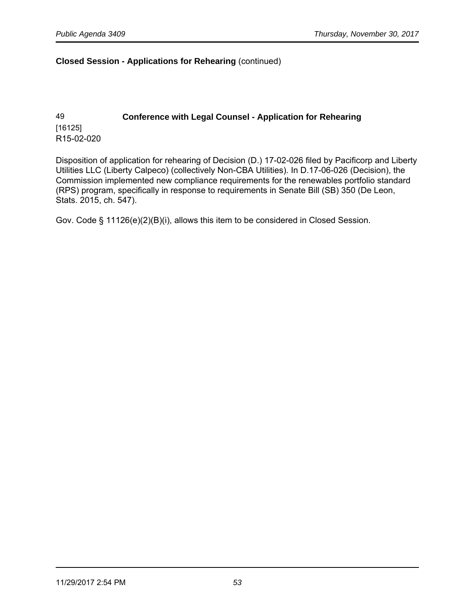#### **Closed Session - Applications for Rehearing** (continued)

# 49 **Conference with Legal Counsel - Application for Rehearing** [16125] R15-02-020

Disposition of application for rehearing of Decision (D.) 17-02-026 filed by Pacificorp and Liberty Utilities LLC (Liberty Calpeco) (collectively Non-CBA Utilities). In D.17-06-026 (Decision), the Commission implemented new compliance requirements for the renewables portfolio standard (RPS) program, specifically in response to requirements in Senate Bill (SB) 350 (De Leon, Stats. 2015, ch. 547).

Gov. Code § 11126(e)(2)(B)(i), allows this item to be considered in Closed Session.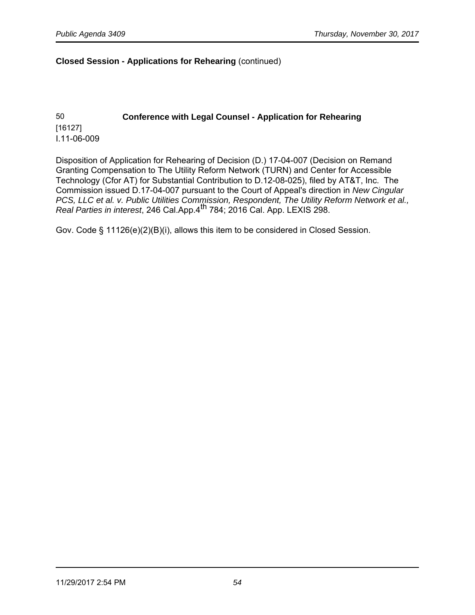#### **Closed Session - Applications for Rehearing** (continued)

50 **Conference with Legal Counsel - Application for Rehearing** [16127] I.11-06-009

Disposition of Application for Rehearing of Decision (D.) 17-04-007 (Decision on Remand Granting Compensation to The Utility Reform Network (TURN) and Center for Accessible Technology (Cfor AT) for Substantial Contribution to D.12-08-025), filed by AT&T, Inc. The Commission issued D.17-04-007 pursuant to the Court of Appeal's direction in New Cingular PCS, LLC et al. v. Public Utilities Commission, Respondent, The Utility Reform Network et al., Real Parties in interest, 246 Cal.App.4th 784; 2016 Cal. App. LEXIS 298.

Gov. Code § 11126(e)(2)(B)(i), allows this item to be considered in Closed Session.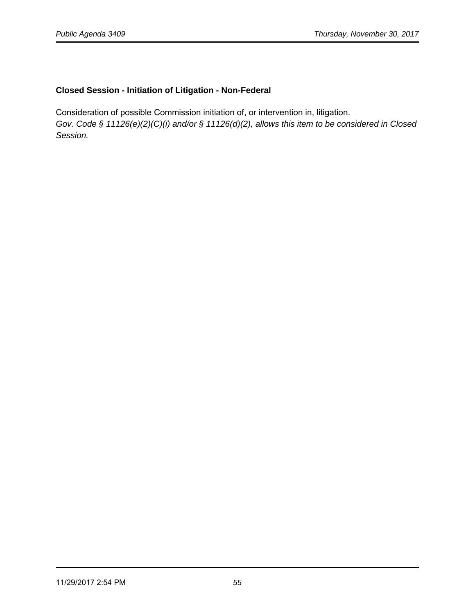# **Closed Session - Initiation of Litigation - Non-Federal**

Consideration of possible Commission initiation of, or intervention in, litigation. Gov. Code § 11126(e)(2)(C)(i) and/or § 11126(d)(2), allows this item to be considered in Closed Session.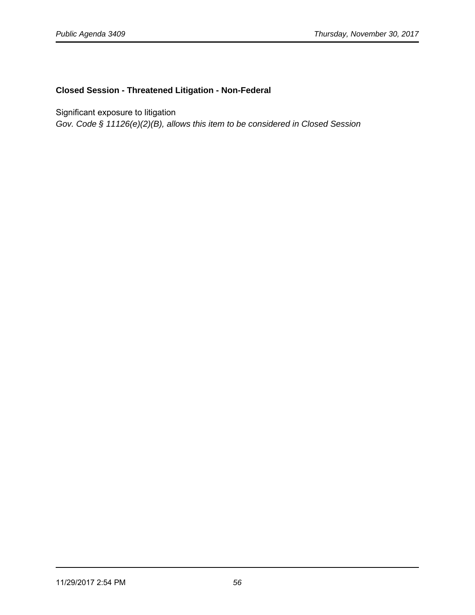# **Closed Session - Threatened Litigation - Non-Federal**

Significant exposure to litigation

Gov. Code § 11126(e)(2)(B), allows this item to be considered in Closed Session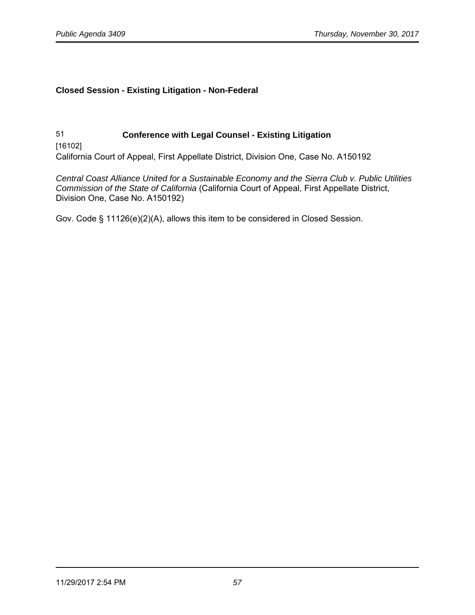# **Closed Session - Existing Litigation - Non-Federal**

51 **Conference with Legal Counsel - Existing Litigation**  [16102] California Court of Appeal, First Appellate District, Division One, Case No. A150192

Central Coast Alliance United for a Sustainable Economy and the Sierra Club v. Public Utilities Commission of the State of California (California Court of Appeal, First Appellate District, Division One, Case No. A150192)

Gov. Code § 11126(e)(2)(A), allows this item to be considered in Closed Session.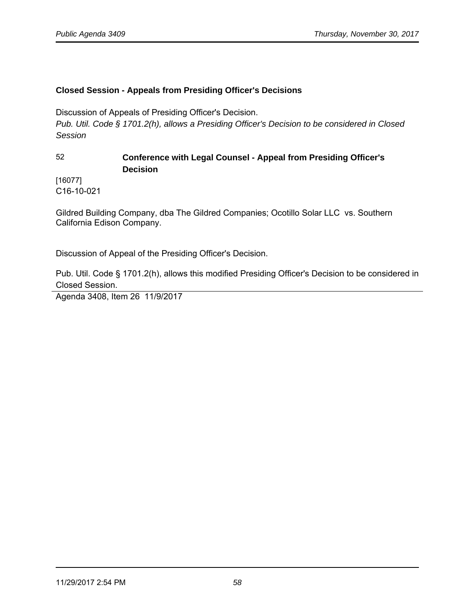# **Closed Session - Appeals from Presiding Officer's Decisions**

Discussion of Appeals of Presiding Officer's Decision.

Pub. Util. Code § 1701.2(h), allows a Presiding Officer's Decision to be considered in Closed Session

# 52 **Conference with Legal Counsel - Appeal from Presiding Officer's Decision**

[16077] C16-10-021

Gildred Building Company, dba The Gildred Companies; Ocotillo Solar LLC vs. Southern California Edison Company.

Discussion of Appeal of the Presiding Officer's Decision.

Pub. Util. Code § 1701.2(h), allows this modified Presiding Officer's Decision to be considered in Closed Session.

Agenda 3408, Item 26 11/9/2017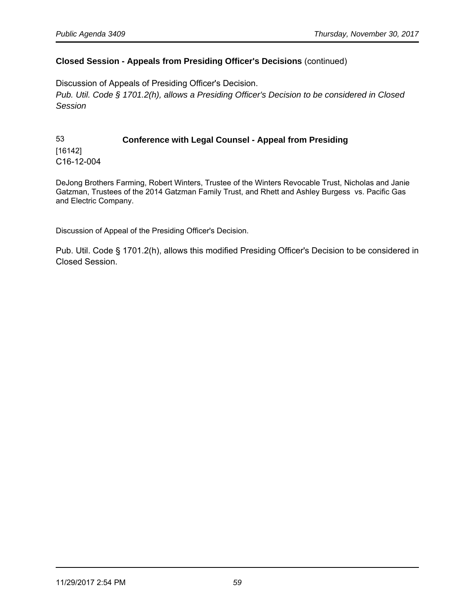#### **Closed Session - Appeals from Presiding Officer's Decisions** (continued)

Discussion of Appeals of Presiding Officer's Decision. Pub. Util. Code § 1701.2(h), allows a Presiding Officer's Decision to be considered in Closed Session

53 **Conference with Legal Counsel - Appeal from Presiding** [16142] C16-12-004

DeJong Brothers Farming, Robert Winters, Trustee of the Winters Revocable Trust, Nicholas and Janie Gatzman, Trustees of the 2014 Gatzman Family Trust, and Rhett and Ashley Burgess vs. Pacific Gas and Electric Company.

Discussion of Appeal of the Presiding Officer's Decision.

Pub. Util. Code § 1701.2(h), allows this modified Presiding Officer's Decision to be considered in Closed Session.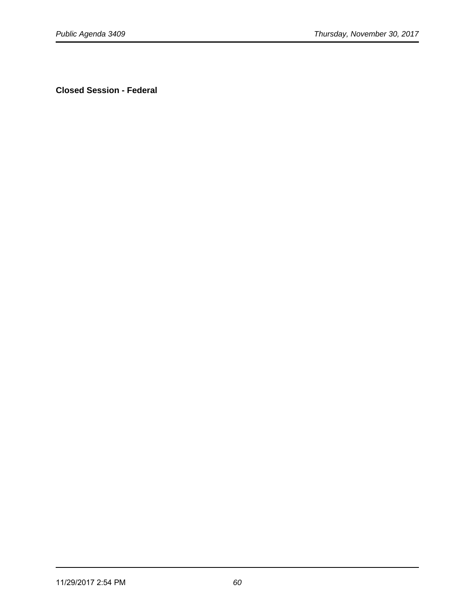**Closed Session - Federal**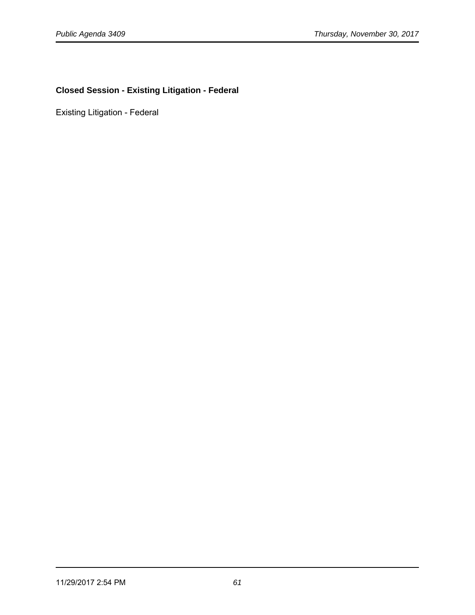# **Closed Session - Existing Litigation - Federal**

Existing Litigation - Federal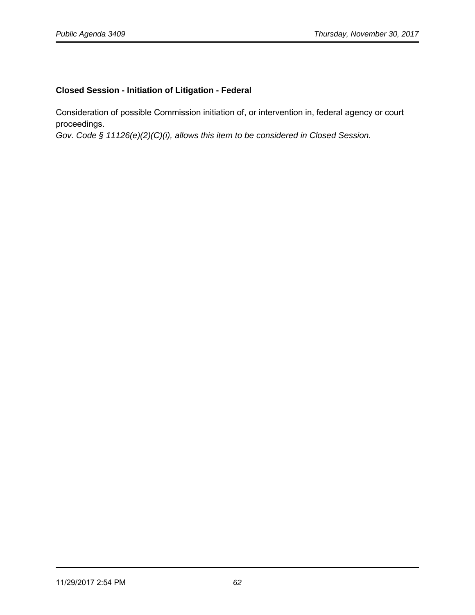# **Closed Session - Initiation of Litigation - Federal**

Consideration of possible Commission initiation of, or intervention in, federal agency or court proceedings.

Gov. Code § 11126(e)(2)(C)(i), allows this item to be considered in Closed Session.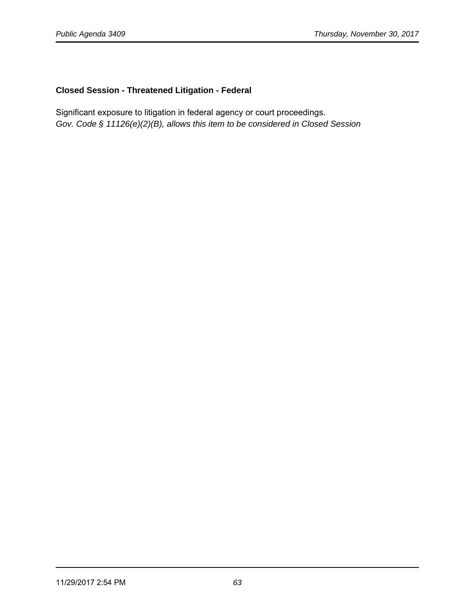# **Closed Session - Threatened Litigation - Federal**

Significant exposure to litigation in federal agency or court proceedings. Gov. Code § 11126(e)(2)(B), allows this item to be considered in Closed Session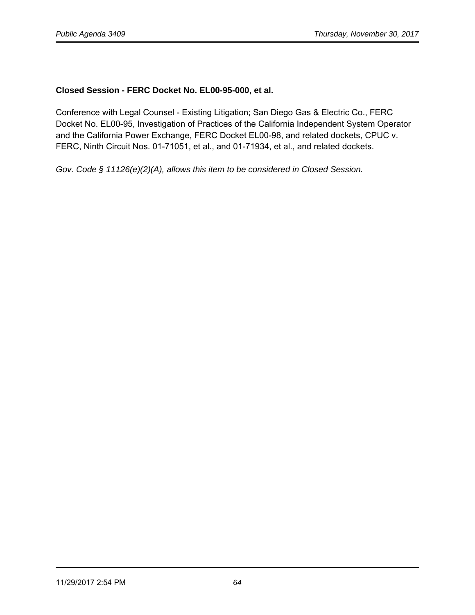# **Closed Session - FERC Docket No. EL00-95-000, et al.**

Conference with Legal Counsel - Existing Litigation; San Diego Gas & Electric Co., FERC Docket No. EL00-95, Investigation of Practices of the California Independent System Operator and the California Power Exchange, FERC Docket EL00-98, and related dockets, CPUC v. FERC, Ninth Circuit Nos. 01-71051, et al., and 01-71934, et al., and related dockets.

Gov. Code § 11126(e)(2)(A), allows this item to be considered in Closed Session.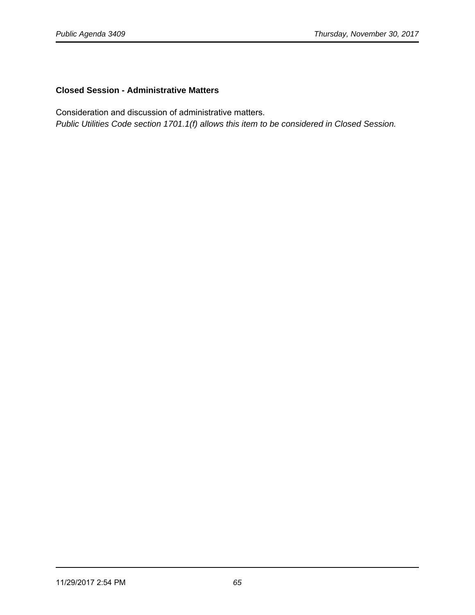# **Closed Session - Administrative Matters**

Consideration and discussion of administrative matters.

Public Utilities Code section 1701.1(f) allows this item to be considered in Closed Session.